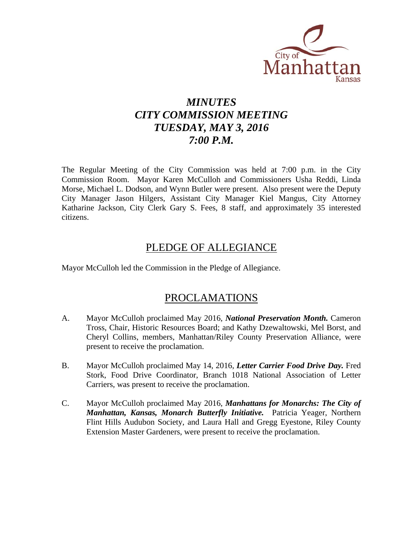

# *MINUTES CITY COMMISSION MEETING TUESDAY, MAY 3, 2016 7:00 P.M.*

The Regular Meeting of the City Commission was held at 7:00 p.m. in the City Commission Room. Mayor Karen McCulloh and Commissioners Usha Reddi, Linda Morse, Michael L. Dodson, and Wynn Butler were present. Also present were the Deputy City Manager Jason Hilgers, Assistant City Manager Kiel Mangus, City Attorney Katharine Jackson, City Clerk Gary S. Fees, 8 staff, and approximately 35 interested citizens.

### PLEDGE OF ALLEGIANCE

Mayor McCulloh led the Commission in the Pledge of Allegiance.

### PROCLAMATIONS

- A. Mayor McCulloh proclaimed May 2016, *National Preservation Month.* Cameron Tross, Chair, Historic Resources Board; and Kathy Dzewaltowski, Mel Borst, and Cheryl Collins, members, Manhattan/Riley County Preservation Alliance, were present to receive the proclamation.
- B. Mayor McCulloh proclaimed May 14, 2016, *Letter Carrier Food Drive Day.* Fred Stork, Food Drive Coordinator, Branch 1018 National Association of Letter Carriers, was present to receive the proclamation.
- C. Mayor McCulloh proclaimed May 2016, *Manhattans for Monarchs: The City of Manhattan, Kansas, Monarch Butterfly Initiative.* Patricia Yeager, Northern Flint Hills Audubon Society, and Laura Hall and Gregg Eyestone, Riley County Extension Master Gardeners, were present to receive the proclamation.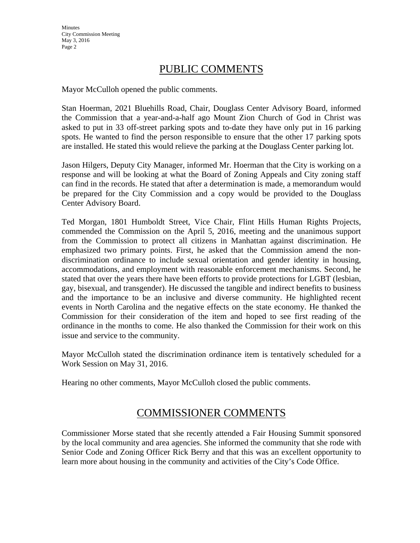### PUBLIC COMMENTS

Mayor McCulloh opened the public comments.

Stan Hoerman, 2021 Bluehills Road, Chair, Douglass Center Advisory Board, informed the Commission that a year-and-a-half ago Mount Zion Church of God in Christ was asked to put in 33 off-street parking spots and to-date they have only put in 16 parking spots. He wanted to find the person responsible to ensure that the other 17 parking spots are installed. He stated this would relieve the parking at the Douglass Center parking lot.

Jason Hilgers, Deputy City Manager, informed Mr. Hoerman that the City is working on a response and will be looking at what the Board of Zoning Appeals and City zoning staff can find in the records. He stated that after a determination is made, a memorandum would be prepared for the City Commission and a copy would be provided to the Douglass Center Advisory Board.

Ted Morgan, 1801 Humboldt Street, Vice Chair, Flint Hills Human Rights Projects, commended the Commission on the April 5, 2016, meeting and the unanimous support from the Commission to protect all citizens in Manhattan against discrimination. He emphasized two primary points. First, he asked that the Commission amend the nondiscrimination ordinance to include sexual orientation and gender identity in housing, accommodations, and employment with reasonable enforcement mechanisms. Second, he stated that over the years there have been efforts to provide protections for LGBT (lesbian, gay, bisexual, and transgender). He discussed the tangible and indirect benefits to business and the importance to be an inclusive and diverse community. He highlighted recent events in North Carolina and the negative effects on the state economy. He thanked the Commission for their consideration of the item and hoped to see first reading of the ordinance in the months to come. He also thanked the Commission for their work on this issue and service to the community.

Mayor McCulloh stated the discrimination ordinance item is tentatively scheduled for a Work Session on May 31, 2016.

Hearing no other comments, Mayor McCulloh closed the public comments.

### COMMISSIONER COMMENTS

Commissioner Morse stated that she recently attended a Fair Housing Summit sponsored by the local community and area agencies. She informed the community that she rode with Senior Code and Zoning Officer Rick Berry and that this was an excellent opportunity to learn more about housing in the community and activities of the City's Code Office.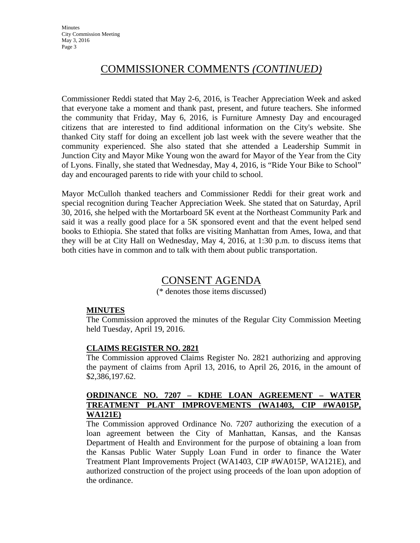### COMMISSIONER COMMENTS *(CONTINUED)*

Commissioner Reddi stated that May 2-6, 2016, is Teacher Appreciation Week and asked that everyone take a moment and thank past, present, and future teachers. She informed the community that Friday, May 6, 2016, is Furniture Amnesty Day and encouraged citizens that are interested to find additional information on the City's website. She thanked City staff for doing an excellent job last week with the severe weather that the community experienced. She also stated that she attended a Leadership Summit in Junction City and Mayor Mike Young won the award for Mayor of the Year from the City of Lyons. Finally, she stated that Wednesday, May 4, 2016, is "Ride Your Bike to School" day and encouraged parents to ride with your child to school.

Mayor McCulloh thanked teachers and Commissioner Reddi for their great work and special recognition during Teacher Appreciation Week. She stated that on Saturday, April 30, 2016, she helped with the Mortarboard 5K event at the Northeast Community Park and said it was a really good place for a 5K sponsored event and that the event helped send books to Ethiopia. She stated that folks are visiting Manhattan from Ames, Iowa, and that they will be at City Hall on Wednesday, May 4, 2016, at 1:30 p.m. to discuss items that both cities have in common and to talk with them about public transportation.

### CONSENT AGENDA

(\* denotes those items discussed)

#### **MINUTES**

The Commission approved the minutes of the Regular City Commission Meeting held Tuesday, April 19, 2016.

#### **CLAIMS REGISTER NO. 2821**

The Commission approved Claims Register No. 2821 authorizing and approving the payment of claims from April 13, 2016, to April 26, 2016, in the amount of \$2,386,197.62.

#### **ORDINANCE NO. 7207 – KDHE LOAN AGREEMENT – WATER TREATMENT PLANT IMPROVEMENTS (WA1403, CIP #WA015P, WA121E)**

The Commission approved Ordinance No. 7207 authorizing the execution of a loan agreement between the City of Manhattan, Kansas, and the Kansas Department of Health and Environment for the purpose of obtaining a loan from the Kansas Public Water Supply Loan Fund in order to finance the Water Treatment Plant Improvements Project (WA1403, CIP #WA015P, WA121E), and authorized construction of the project using proceeds of the loan upon adoption of the ordinance.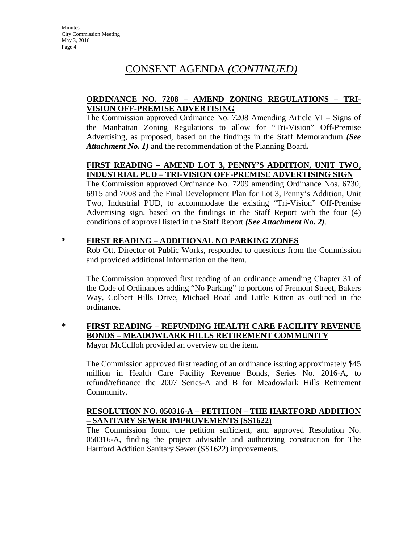#### **ORDINANCE NO. 7208 – AMEND ZONING REGULATIONS – TRI-VISION OFF-PREMISE ADVERTISING**

The Commission approved Ordinance No. 7208 Amending Article VI – Signs of the Manhattan Zoning Regulations to allow for "Tri-Vision" Off-Premise Advertising, as proposed, based on the findings in the Staff Memorandum *(See Attachment No. 1)* and the recommendation of the Planning Board**.** 

### **FIRST READING – AMEND LOT 3, PENNY'S ADDITION, UNIT TWO, INDUSTRIAL PUD – TRI-VISION OFF-PREMISE ADVERTISING SIGN**

The Commission approved Ordinance No. 7209 amending Ordinance Nos. 6730, 6915 and 7008 and the Final Development Plan for Lot 3, Penny's Addition, Unit Two, Industrial PUD, to accommodate the existing "Tri-Vision" Off-Premise Advertising sign, based on the findings in the Staff Report with the four (4) conditions of approval listed in the Staff Report *(See Attachment No. 2)*.

#### **\* FIRST READING – ADDITIONAL NO PARKING ZONES**

Rob Ott, Director of Public Works, responded to questions from the Commission and provided additional information on the item.

The Commission approved first reading of an ordinance amending Chapter 31 of the Code of Ordinances adding "No Parking" to portions of Fremont Street, Bakers Way, Colbert Hills Drive, Michael Road and Little Kitten as outlined in the ordinance.

### **\* FIRST READING – REFUNDING HEALTH CARE FACILITY REVENUE BONDS – MEADOWLARK HILLS RETIREMENT COMMUNITY**

Mayor McCulloh provided an overview on the item.

The Commission approved first reading of an ordinance issuing approximately \$45 million in Health Care Facility Revenue Bonds, Series No. 2016-A, to refund/refinance the 2007 Series-A and B for Meadowlark Hills Retirement Community.

#### **RESOLUTION NO. 050316-A – PETITION – THE HARTFORD ADDITION – SANITARY SEWER IMPROVEMENTS (SS1622)**

The Commission found the petition sufficient, and approved Resolution No. 050316-A, finding the project advisable and authorizing construction for The Hartford Addition Sanitary Sewer (SS1622) improvements.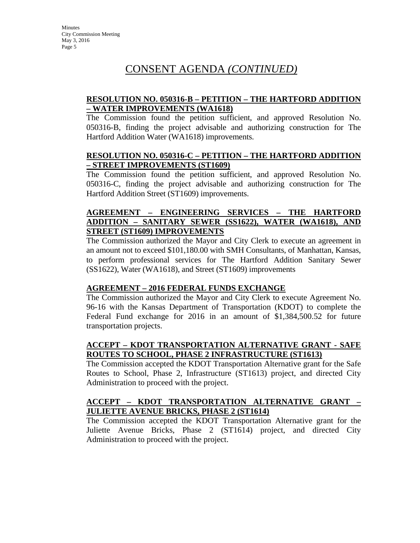#### **RESOLUTION NO. 050316-B – PETITION – THE HARTFORD ADDITION – WATER IMPROVEMENTS (WA1618)**

The Commission found the petition sufficient, and approved Resolution No. 050316-B, finding the project advisable and authorizing construction for The Hartford Addition Water (WA1618) improvements.

#### **RESOLUTION NO. 050316-C – PETITION – THE HARTFORD ADDITION – STREET IMPROVEMENTS (ST1609)**

The Commission found the petition sufficient, and approved Resolution No. 050316-C, finding the project advisable and authorizing construction for The Hartford Addition Street (ST1609) improvements.

#### **AGREEMENT – ENGINEERING SERVICES – THE HARTFORD ADDITION – SANITARY SEWER (SS1622), WATER (WA1618), AND STREET (ST1609) IMPROVEMENTS**

The Commission authorized the Mayor and City Clerk to execute an agreement in an amount not to exceed \$101,180.00 with SMH Consultants, of Manhattan, Kansas, to perform professional services for The Hartford Addition Sanitary Sewer (SS1622), Water (WA1618), and Street (ST1609) improvements

#### **AGREEMENT – 2016 FEDERAL FUNDS EXCHANGE**

The Commission authorized the Mayor and City Clerk to execute Agreement No. 96-16 with the Kansas Department of Transportation (KDOT) to complete the Federal Fund exchange for 2016 in an amount of \$1,384,500.52 for future transportation projects.

### **ACCEPT – KDOT TRANSPORTATION ALTERNATIVE GRANT - SAFE ROUTES TO SCHOOL, PHASE 2 INFRASTRUCTURE (ST1613)**

The Commission accepted the KDOT Transportation Alternative grant for the Safe Routes to School, Phase 2, Infrastructure (ST1613) project, and directed City Administration to proceed with the project.

#### **ACCEPT – KDOT TRANSPORTATION ALTERNATIVE GRANT – JULIETTE AVENUE BRICKS, PHASE 2 (ST1614)**

The Commission accepted the KDOT Transportation Alternative grant for the Juliette Avenue Bricks, Phase 2 (ST1614) project, and directed City Administration to proceed with the project.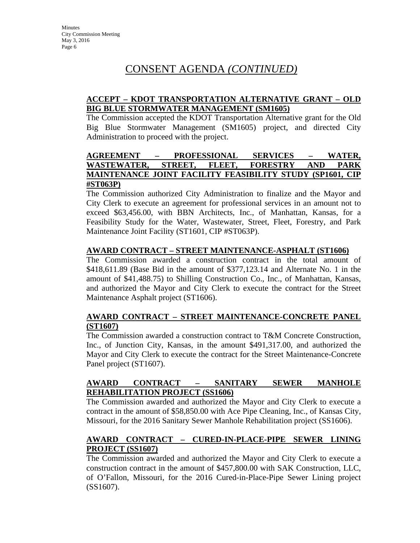#### **ACCEPT – KDOT TRANSPORTATION ALTERNATIVE GRANT – OLD BIG BLUE STORMWATER MANAGEMENT (SM1605)**

The Commission accepted the KDOT Transportation Alternative grant for the Old Big Blue Stormwater Management (SM1605) project, and directed City Administration to proceed with the project.

### **AGREEMENT – PROFESSIONAL SERVICES – WATER, WASTEWATER, STREET, FLEET, FORESTRY AND PARK MAINTENANCE JOINT FACILITY FEASIBILITY STUDY (SP1601, CIP #ST063P)**

The Commission authorized City Administration to finalize and the Mayor and City Clerk to execute an agreement for professional services in an amount not to exceed \$63,456.00, with BBN Architects, Inc., of Manhattan, Kansas, for a Feasibility Study for the Water, Wastewater, Street, Fleet, Forestry, and Park Maintenance Joint Facility (ST1601, CIP #ST063P).

#### **AWARD CONTRACT – STREET MAINTENANCE-ASPHALT (ST1606)**

The Commission awarded a construction contract in the total amount of \$418,611.89 (Base Bid in the amount of \$377,123.14 and Alternate No. 1 in the amount of \$41,488.75) to Shilling Construction Co., Inc., of Manhattan, Kansas, and authorized the Mayor and City Clerk to execute the contract for the Street Maintenance Asphalt project (ST1606).

#### **AWARD CONTRACT – STREET MAINTENANCE-CONCRETE PANEL (ST1607)**

The Commission awarded a construction contract to T&M Concrete Construction, Inc., of Junction City, Kansas, in the amount \$491,317.00, and authorized the Mayor and City Clerk to execute the contract for the Street Maintenance-Concrete Panel project (ST1607).

### **AWARD CONTRACT – SANITARY SEWER MANHOLE REHABILITATION PROJECT (SS1606)**

The Commission awarded and authorized the Mayor and City Clerk to execute a contract in the amount of \$58,850.00 with Ace Pipe Cleaning, Inc., of Kansas City, Missouri, for the 2016 Sanitary Sewer Manhole Rehabilitation project (SS1606).

#### **AWARD CONTRACT – CURED-IN-PLACE-PIPE SEWER LINING PROJECT (SS1607)**

The Commission awarded and authorized the Mayor and City Clerk to execute a construction contract in the amount of \$457,800.00 with SAK Construction, LLC, of O'Fallon, Missouri, for the 2016 Cured-in-Place-Pipe Sewer Lining project (SS1607).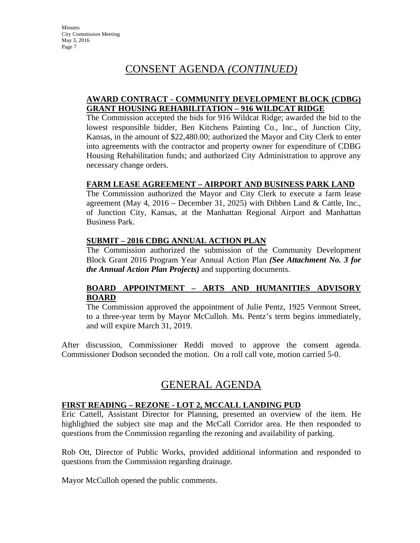#### **AWARD CONTRACT - COMMUNITY DEVELOPMENT BLOCK (CDBG) GRANT HOUSING REHABILITATION – 916 WILDCAT RIDGE**

The Commission accepted the bids for 916 Wildcat Ridge; awarded the bid to the lowest responsible bidder, Ben Kitchens Painting Co., Inc., of Junction City, Kansas, in the amount of \$22,480.00; authorized the Mayor and City Clerk to enter into agreements with the contractor and property owner for expenditure of CDBG Housing Rehabilitation funds; and authorized City Administration to approve any necessary change orders.

#### **FARM LEASE AGREEMENT – AIRPORT AND BUSINESS PARK LAND**

The Commission authorized the Mayor and City Clerk to execute a farm lease agreement (May 4, 2016 – December 31, 2025) with Dibben Land & Cattle, Inc., of Junction City, Kansas, at the Manhattan Regional Airport and Manhattan Business Park.

#### **SUBMIT – 2016 CDBG ANNUAL ACTION PLAN**

The Commission authorized the submission of the Community Development Block Grant 2016 Program Year Annual Action Plan *(See Attachment No. 3 for the Annual Action Plan Projects)* and supporting documents.

#### **BOARD APPOINTMENT – ARTS AND HUMANITIES ADVISORY BOARD**

The Commission approved the appointment of Julie Pentz, 1925 Vermont Street, to a three-year term by Mayor McCulloh. Ms. Pentz's term begins immediately, and will expire March 31, 2019.

After discussion, Commissioner Reddi moved to approve the consent agenda. Commissioner Dodson seconded the motion. On a roll call vote, motion carried 5-0.

### GENERAL AGENDA

#### **FIRST READING – REZONE - LOT 2, MCCALL LANDING PUD**

Eric Cattell, Assistant Director for Planning, presented an overview of the item. He highlighted the subject site map and the McCall Corridor area. He then responded to questions from the Commission regarding the rezoning and availability of parking.

Rob Ott, Director of Public Works, provided additional information and responded to questions from the Commission regarding drainage.

Mayor McCulloh opened the public comments.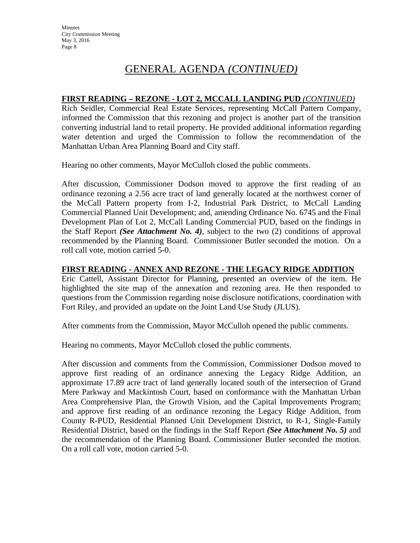#### **FIRST READING – REZONE - LOT 2, MCCALL LANDING PUD** *(CONTINUED)*

Rich Seidler, Commercial Real Estate Services, representing McCall Pattern Company, informed the Commission that this rezoning and project is another part of the transition converting industrial land to retail property. He provided additional information regarding water detention and urged the Commission to follow the recommendation of the Manhattan Urban Area Planning Board and City staff.

Hearing no other comments, Mayor McCulloh closed the public comments.

After discussion, Commissioner Dodson moved to approve the first reading of an ordinance rezoning a 2.56 acre tract of land generally located at the northwest corner of the McCall Pattern property from I-2, Industrial Park District, to McCall Landing Commercial Planned Unit Development; and, amending Ordinance No. 6745 and the Final Development Plan of Lot 2, McCall Landing Commercial PUD, based on the findings in the Staff Report *(See Attachment No. 4)*, subject to the two (2) conditions of approval recommended by the Planning Board. Commissioner Butler seconded the motion. On a roll call vote, motion carried 5-0.

#### **FIRST READING - ANNEX AND REZONE - THE LEGACY RIDGE ADDITION**

Eric Cattell, Assistant Director for Planning, presented an overview of the item. He highlighted the site map of the annexation and rezoning area. He then responded to questions from the Commission regarding noise disclosure notifications, coordination with Fort Riley, and provided an update on the Joint Land Use Study (JLUS).

After comments from the Commission, Mayor McCulloh opened the public comments.

Hearing no comments, Mayor McCulloh closed the public comments.

After discussion and comments from the Commission, Commissioner Dodson moved to approve first reading of an ordinance annexing the Legacy Ridge Addition, an approximate 17.89 acre tract of land generally located south of the intersection of Grand Mere Parkway and Mackintosh Court, based on conformance with the Manhattan Urban Area Comprehensive Plan, the Growth Vision, and the Capital Improvements Program; and approve first reading of an ordinance rezoning the Legacy Ridge Addition, from County R-PUD, Residential Planned Unit Development District, to R-1, Single-Family Residential District, based on the findings in the Staff Report *(See Attachment No. 5)* and the recommendation of the Planning Board. Commissioner Butler seconded the motion. On a roll call vote, motion carried 5-0.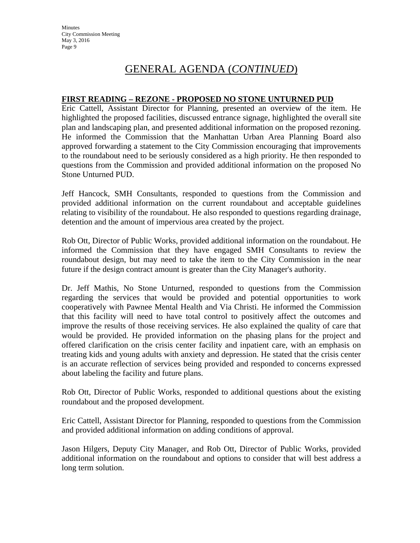#### **FIRST READING – REZONE - PROPOSED NO STONE UNTURNED PUD**

Eric Cattell, Assistant Director for Planning, presented an overview of the item. He highlighted the proposed facilities, discussed entrance signage, highlighted the overall site plan and landscaping plan, and presented additional information on the proposed rezoning. He informed the Commission that the Manhattan Urban Area Planning Board also approved forwarding a statement to the City Commission encouraging that improvements to the roundabout need to be seriously considered as a high priority. He then responded to questions from the Commission and provided additional information on the proposed No Stone Unturned PUD.

Jeff Hancock, SMH Consultants, responded to questions from the Commission and provided additional information on the current roundabout and acceptable guidelines relating to visibility of the roundabout. He also responded to questions regarding drainage, detention and the amount of impervious area created by the project.

Rob Ott, Director of Public Works, provided additional information on the roundabout. He informed the Commission that they have engaged SMH Consultants to review the roundabout design, but may need to take the item to the City Commission in the near future if the design contract amount is greater than the City Manager's authority.

Dr. Jeff Mathis, No Stone Unturned, responded to questions from the Commission regarding the services that would be provided and potential opportunities to work cooperatively with Pawnee Mental Health and Via Christi. He informed the Commission that this facility will need to have total control to positively affect the outcomes and improve the results of those receiving services. He also explained the quality of care that would be provided. He provided information on the phasing plans for the project and offered clarification on the crisis center facility and inpatient care, with an emphasis on treating kids and young adults with anxiety and depression. He stated that the crisis center is an accurate reflection of services being provided and responded to concerns expressed about labeling the facility and future plans.

Rob Ott, Director of Public Works, responded to additional questions about the existing roundabout and the proposed development.

Eric Cattell, Assistant Director for Planning, responded to questions from the Commission and provided additional information on adding conditions of approval.

Jason Hilgers, Deputy City Manager, and Rob Ott, Director of Public Works, provided additional information on the roundabout and options to consider that will best address a long term solution.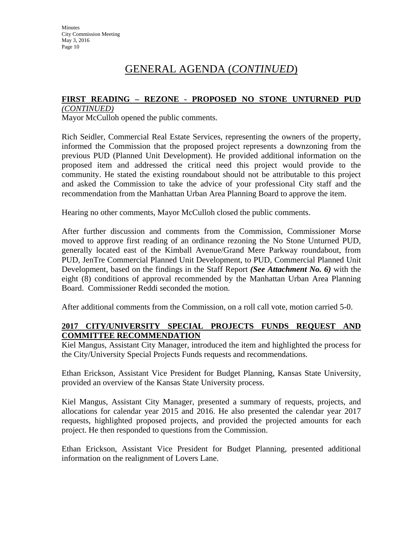### **FIRST READING – REZONE - PROPOSED NO STONE UNTURNED PUD**

*(CONTINUED)* Mayor McCulloh opened the public comments.

Rich Seidler, Commercial Real Estate Services, representing the owners of the property, informed the Commission that the proposed project represents a downzoning from the previous PUD (Planned Unit Development). He provided additional information on the proposed item and addressed the critical need this project would provide to the community. He stated the existing roundabout should not be attributable to this project and asked the Commission to take the advice of your professional City staff and the recommendation from the Manhattan Urban Area Planning Board to approve the item.

Hearing no other comments, Mayor McCulloh closed the public comments.

After further discussion and comments from the Commission, Commissioner Morse moved to approve first reading of an ordinance rezoning the No Stone Unturned PUD, generally located east of the Kimball Avenue/Grand Mere Parkway roundabout, from PUD, JenTre Commercial Planned Unit Development, to PUD, Commercial Planned Unit Development, based on the findings in the Staff Report *(See Attachment No. 6)* with the eight (8) conditions of approval recommended by the Manhattan Urban Area Planning Board. Commissioner Reddi seconded the motion.

After additional comments from the Commission, on a roll call vote, motion carried 5-0.

### **2017 CITY/UNIVERSITY SPECIAL PROJECTS FUNDS REQUEST AND COMMITTEE RECOMMENDATION**

Kiel Mangus, Assistant City Manager, introduced the item and highlighted the process for the City/University Special Projects Funds requests and recommendations.

Ethan Erickson, Assistant Vice President for Budget Planning, Kansas State University, provided an overview of the Kansas State University process.

Kiel Mangus, Assistant City Manager, presented a summary of requests, projects, and allocations for calendar year 2015 and 2016. He also presented the calendar year 2017 requests, highlighted proposed projects, and provided the projected amounts for each project. He then responded to questions from the Commission.

Ethan Erickson, Assistant Vice President for Budget Planning, presented additional information on the realignment of Lovers Lane.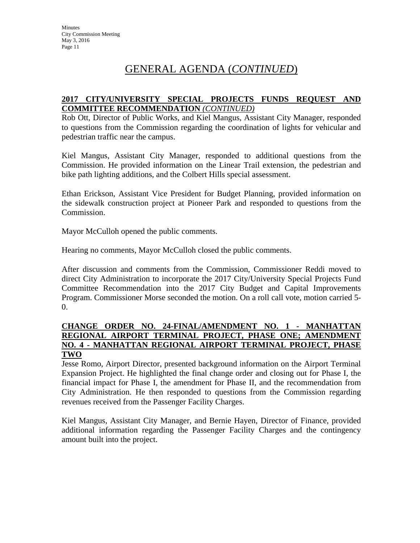#### **2017 CITY/UNIVERSITY SPECIAL PROJECTS FUNDS REQUEST AND COMMITTEE RECOMMENDATION** *(CONTINUED)*

Rob Ott, Director of Public Works, and Kiel Mangus, Assistant City Manager, responded to questions from the Commission regarding the coordination of lights for vehicular and pedestrian traffic near the campus.

Kiel Mangus, Assistant City Manager, responded to additional questions from the Commission. He provided information on the Linear Trail extension, the pedestrian and bike path lighting additions, and the Colbert Hills special assessment.

Ethan Erickson, Assistant Vice President for Budget Planning, provided information on the sidewalk construction project at Pioneer Park and responded to questions from the Commission.

Mayor McCulloh opened the public comments.

Hearing no comments, Mayor McCulloh closed the public comments.

After discussion and comments from the Commission, Commissioner Reddi moved to direct City Administration to incorporate the 2017 City/University Special Projects Fund Committee Recommendation into the 2017 City Budget and Capital Improvements Program. Commissioner Morse seconded the motion. On a roll call vote, motion carried 5- 0.

#### **CHANGE ORDER NO. 24-FINAL/AMENDMENT NO. 1 - MANHATTAN REGIONAL AIRPORT TERMINAL PROJECT, PHASE ONE; AMENDMENT NO. 4 - MANHATTAN REGIONAL AIRPORT TERMINAL PROJECT, PHASE TWO**

Jesse Romo, Airport Director, presented background information on the Airport Terminal Expansion Project. He highlighted the final change order and closing out for Phase I, the financial impact for Phase I, the amendment for Phase II, and the recommendation from City Administration. He then responded to questions from the Commission regarding revenues received from the Passenger Facility Charges.

Kiel Mangus, Assistant City Manager, and Bernie Hayen, Director of Finance, provided additional information regarding the Passenger Facility Charges and the contingency amount built into the project.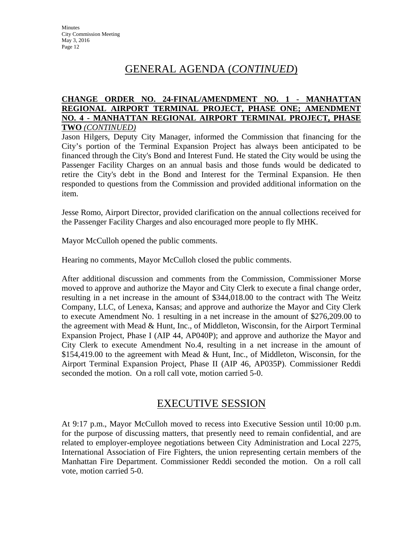#### **CHANGE ORDER NO. 24-FINAL/AMENDMENT NO. 1 - MANHATTAN REGIONAL AIRPORT TERMINAL PROJECT, PHASE ONE; AMENDMENT NO. 4 - MANHATTAN REGIONAL AIRPORT TERMINAL PROJECT, PHASE TWO** *(CONTINUED)*

Jason Hilgers, Deputy City Manager, informed the Commission that financing for the City's portion of the Terminal Expansion Project has always been anticipated to be financed through the City's Bond and Interest Fund. He stated the City would be using the Passenger Facility Charges on an annual basis and those funds would be dedicated to retire the City's debt in the Bond and Interest for the Terminal Expansion. He then responded to questions from the Commission and provided additional information on the item.

Jesse Romo, Airport Director, provided clarification on the annual collections received for the Passenger Facility Charges and also encouraged more people to fly MHK.

Mayor McCulloh opened the public comments.

Hearing no comments, Mayor McCulloh closed the public comments.

After additional discussion and comments from the Commission, Commissioner Morse moved to approve and authorize the Mayor and City Clerk to execute a final change order, resulting in a net increase in the amount of \$344,018.00 to the contract with The Weitz Company, LLC, of Lenexa, Kansas; and approve and authorize the Mayor and City Clerk to execute Amendment No. 1 resulting in a net increase in the amount of \$276,209.00 to the agreement with Mead & Hunt, Inc., of Middleton, Wisconsin, for the Airport Terminal Expansion Project, Phase I (AIP 44, AP040P); and approve and authorize the Mayor and City Clerk to execute Amendment No.4, resulting in a net increase in the amount of \$154,419.00 to the agreement with Mead & Hunt, Inc., of Middleton, Wisconsin, for the Airport Terminal Expansion Project, Phase II (AIP 46, AP035P). Commissioner Reddi seconded the motion. On a roll call vote, motion carried 5-0.

### EXECUTIVE SESSION

At 9:17 p.m., Mayor McCulloh moved to recess into Executive Session until 10:00 p.m. for the purpose of discussing matters, that presently need to remain confidential, and are related to employer-employee negotiations between City Administration and Local 2275, International Association of Fire Fighters, the union representing certain members of the Manhattan Fire Department. Commissioner Reddi seconded the motion. On a roll call vote, motion carried 5-0.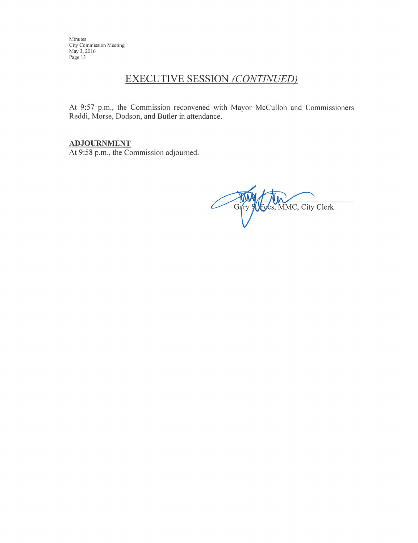# **EXECUTIVE SESSION (CONTINUED)**

At 9:57 p.m., the Commission reconvened with Mayor McCulloh and Commissioners Reddi, Morse, Dodson, and Butler in attendance.

#### **ADJOURNMENT**

At 9:58 p.m., the Commission adjourned.

Gary S. Foes, MMC, City Clerk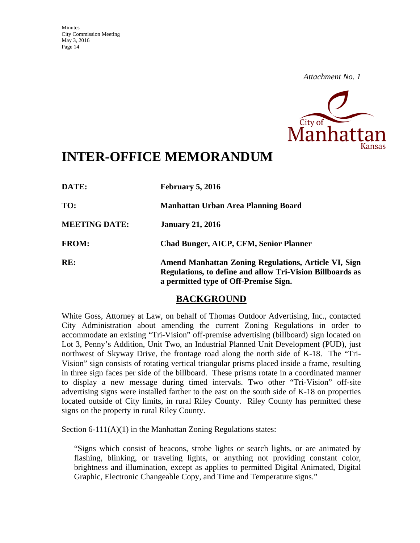

# **INTER-OFFICE MEMORANDUM**

| DATE:                | February 5, 2016                                                                                                                                                  |
|----------------------|-------------------------------------------------------------------------------------------------------------------------------------------------------------------|
| TO:                  | <b>Manhattan Urban Area Planning Board</b>                                                                                                                        |
| <b>MEETING DATE:</b> | <b>January 21, 2016</b>                                                                                                                                           |
| <b>FROM:</b>         | <b>Chad Bunger, AICP, CFM, Senior Planner</b>                                                                                                                     |
| RE:                  | <b>Amend Manhattan Zoning Regulations, Article VI, Sign</b><br>Regulations, to define and allow Tri-Vision Billboards as<br>a permitted type of Off-Premise Sign. |

### **BACKGROUND**

White Goss, Attorney at Law, on behalf of Thomas Outdoor Advertising, Inc., contacted City Administration about amending the current Zoning Regulations in order to accommodate an existing "Tri-Vision" off-premise advertising (billboard) sign located on Lot 3, Penny's Addition, Unit Two, an Industrial Planned Unit Development (PUD), just northwest of Skyway Drive, the frontage road along the north side of K-18. The "Tri-Vision" sign consists of rotating vertical triangular prisms placed inside a frame, resulting in three sign faces per side of the billboard. These prisms rotate in a coordinated manner to display a new message during timed intervals. Two other "Tri-Vision" off-site advertising signs were installed farther to the east on the south side of K-18 on properties located outside of City limits, in rural Riley County. Riley County has permitted these signs on the property in rural Riley County.

Section 6-111(A)(1) in the Manhattan Zoning Regulations states:

"Signs which consist of beacons, strobe lights or search lights, or are animated by flashing, blinking, or traveling lights, or anything not providing constant color, brightness and illumination, except as applies to permitted Digital Animated, Digital Graphic, Electronic Changeable Copy, and Time and Temperature signs."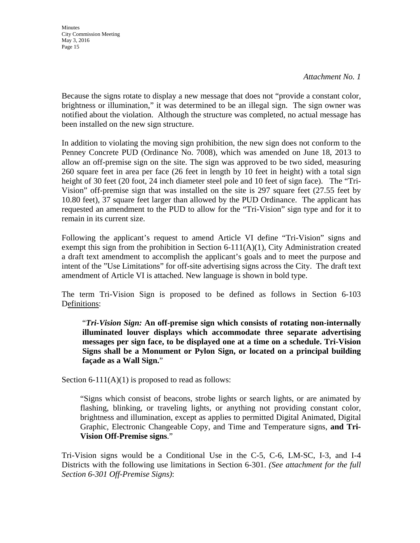*Attachment No. 1* 

Because the signs rotate to display a new message that does not "provide a constant color, brightness or illumination," it was determined to be an illegal sign. The sign owner was notified about the violation. Although the structure was completed, no actual message has been installed on the new sign structure.

In addition to violating the moving sign prohibition, the new sign does not conform to the Penney Concrete PUD (Ordinance No. 7008), which was amended on June 18, 2013 to allow an off-premise sign on the site. The sign was approved to be two sided, measuring 260 square feet in area per face (26 feet in length by 10 feet in height) with a total sign height of 30 feet (20 foot, 24 inch diameter steel pole and 10 feet of sign face). The "Tri-Vision" off-premise sign that was installed on the site is 297 square feet (27.55 feet by 10.80 feet), 37 square feet larger than allowed by the PUD Ordinance. The applicant has requested an amendment to the PUD to allow for the "Tri-Vision" sign type and for it to remain in its current size.

Following the applicant's request to amend Article VI define "Tri-Vision" signs and exempt this sign from the prohibition in Section  $6-111(A)(1)$ , City Administration created a draft text amendment to accomplish the applicant's goals and to meet the purpose and intent of the "Use Limitations" for off-site advertising signs across the City. The draft text amendment of Article VI is attached. New language is shown in bold type.

The term Tri-Vision Sign is proposed to be defined as follows in Section 6-103 Definitions:

"*Tri-Vision Sign:* **An off-premise sign which consists of rotating non-internally illuminated louver displays which accommodate three separate advertising messages per sign face, to be displayed one at a time on a schedule. Tri-Vision Signs shall be a Monument or Pylon Sign, or located on a principal building façade as a Wall Sign.**"

Section 6-111(A)(1) is proposed to read as follows:

"Signs which consist of beacons, strobe lights or search lights, or are animated by flashing, blinking, or traveling lights, or anything not providing constant color, brightness and illumination, except as applies to permitted Digital Animated, Digital Graphic, Electronic Changeable Copy, and Time and Temperature signs, **and Tri-Vision Off-Premise signs**."

Tri-Vision signs would be a Conditional Use in the C-5, C-6, LM-SC, I-3, and I-4 Districts with the following use limitations in Section 6-301. *(See attachment for the full Section 6-301 Off-Premise Signs)*: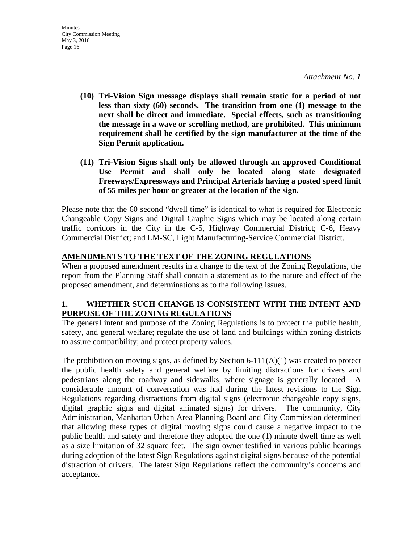- **(10) Tri-Vision Sign message displays shall remain static for a period of not less than sixty (60) seconds. The transition from one (1) message to the next shall be direct and immediate. Special effects, such as transitioning the message in a wave or scrolling method, are prohibited. This minimum requirement shall be certified by the sign manufacturer at the time of the Sign Permit application.**
- **(11) Tri-Vision Signs shall only be allowed through an approved Conditional Use Permit and shall only be located along state designated Freeways/Expressways and Principal Arterials having a posted speed limit of 55 miles per hour or greater at the location of the sign.**

Please note that the 60 second "dwell time" is identical to what is required for Electronic Changeable Copy Signs and Digital Graphic Signs which may be located along certain traffic corridors in the City in the C-5, Highway Commercial District; C-6, Heavy Commercial District; and LM-SC, Light Manufacturing-Service Commercial District.

### **AMENDMENTS TO THE TEXT OF THE ZONING REGULATIONS**

When a proposed amendment results in a change to the text of the Zoning Regulations, the report from the Planning Staff shall contain a statement as to the nature and effect of the proposed amendment, and determinations as to the following issues.

### **1. WHETHER SUCH CHANGE IS CONSISTENT WITH THE INTENT AND PURPOSE OF THE ZONING REGULATIONS**

The general intent and purpose of the Zoning Regulations is to protect the public health, safety, and general welfare; regulate the use of land and buildings within zoning districts to assure compatibility; and protect property values.

The prohibition on moving signs, as defined by Section  $6-111(A)(1)$  was created to protect the public health safety and general welfare by limiting distractions for drivers and pedestrians along the roadway and sidewalks, where signage is generally located. A considerable amount of conversation was had during the latest revisions to the Sign Regulations regarding distractions from digital signs (electronic changeable copy signs, digital graphic signs and digital animated signs) for drivers. The community, City Administration, Manhattan Urban Area Planning Board and City Commission determined that allowing these types of digital moving signs could cause a negative impact to the public health and safety and therefore they adopted the one (1) minute dwell time as well as a size limitation of 32 square feet. The sign owner testified in various public hearings during adoption of the latest Sign Regulations against digital signs because of the potential distraction of drivers. The latest Sign Regulations reflect the community's concerns and acceptance.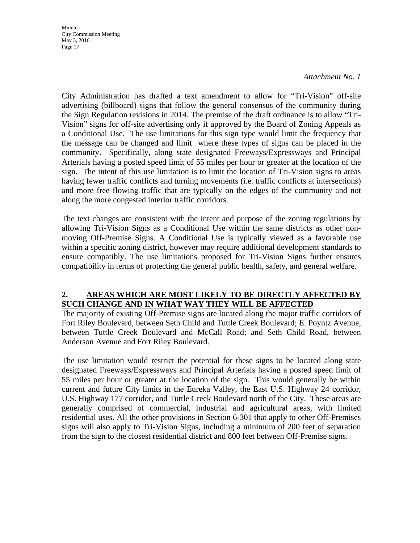#### *Attachment No. 1*

City Administration has drafted a text amendment to allow for "Tri-Vision" off-site advertising (billboard) signs that follow the general consensus of the community during the Sign Regulation revisions in 2014. The premise of the draft ordinance is to allow "Tri-Vision" signs for off-site advertising only if approved by the Board of Zoning Appeals as a Conditional Use. The use limitations for this sign type would limit the frequency that the message can be changed and limit where these types of signs can be placed in the community. Specifically, along state designated Freeways/Expressways and Principal Arterials having a posted speed limit of 55 miles per hour or greater at the location of the sign. The intent of this use limitation is to limit the location of Tri-Vision signs to areas having fewer traffic conflicts and turning movements (i.e. traffic conflicts at intersections) and more free flowing traffic that are typically on the edges of the community and not along the more congested interior traffic corridors.

The text changes are consistent with the intent and purpose of the zoning regulations by allowing Tri-Vision Signs as a Conditional Use within the same districts as other nonmoving Off-Premise Signs. A Conditional Use is typically viewed as a favorable use within a specific zoning district, however may require additional development standards to ensure compatibly. The use limitations proposed for Tri-Vision Signs further ensures compatibility in terms of protecting the general public health, safety, and general welfare.

#### **2. AREAS WHICH ARE MOST LIKELY TO BE DIRECTLY AFFECTED BY SUCH CHANGE AND IN WHAT WAY THEY WILL BE AFFECTED**

The majority of existing Off-Premise signs are located along the major traffic corridors of Fort Riley Boulevard, between Seth Child and Tuttle Creek Boulevard; E. Poyntz Avenue, between Tuttle Creek Boulevard and McCall Road; and Seth Child Road, between Anderson Avenue and Fort Riley Boulevard.

The use limitation would restrict the potential for these signs to be located along state designated Freeways/Expressways and Principal Arterials having a posted speed limit of 55 miles per hour or greater at the location of the sign. This would generally be within current and future City limits in the Eureka Valley, the East U.S. Highway 24 corridor, U.S. Highway 177 corridor, and Tuttle Creek Boulevard north of the City. These areas are generally comprised of commercial, industrial and agricultural areas, with limited residential uses. All the other provisions in Section 6-301 that apply to other Off-Premises signs will also apply to Tri-Vision Signs, including a minimum of 200 feet of separation from the sign to the closest residential district and 800 feet between Off-Premise signs.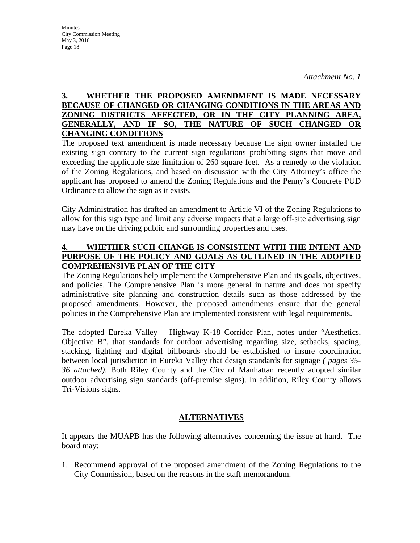#### **3. WHETHER THE PROPOSED AMENDMENT IS MADE NECESSARY BECAUSE OF CHANGED OR CHANGING CONDITIONS IN THE AREAS AND ZONING DISTRICTS AFFECTED, OR IN THE CITY PLANNING AREA, GENERALLY, AND IF SO, THE NATURE OF SUCH CHANGED OR CHANGING CONDITIONS**

The proposed text amendment is made necessary because the sign owner installed the existing sign contrary to the current sign regulations prohibiting signs that move and exceeding the applicable size limitation of 260 square feet. As a remedy to the violation of the Zoning Regulations, and based on discussion with the City Attorney's office the applicant has proposed to amend the Zoning Regulations and the Penny's Concrete PUD Ordinance to allow the sign as it exists.

City Administration has drafted an amendment to Article VI of the Zoning Regulations to allow for this sign type and limit any adverse impacts that a large off-site advertising sign may have on the driving public and surrounding properties and uses.

#### **4. WHETHER SUCH CHANGE IS CONSISTENT WITH THE INTENT AND PURPOSE OF THE POLICY AND GOALS AS OUTLINED IN THE ADOPTED COMPREHENSIVE PLAN OF THE CITY**

The Zoning Regulations help implement the Comprehensive Plan and its goals, objectives, and policies. The Comprehensive Plan is more general in nature and does not specify administrative site planning and construction details such as those addressed by the proposed amendments. However, the proposed amendments ensure that the general policies in the Comprehensive Plan are implemented consistent with legal requirements.

The adopted Eureka Valley – Highway K-18 Corridor Plan, notes under "Aesthetics, Objective B", that standards for outdoor advertising regarding size, setbacks, spacing, stacking, lighting and digital billboards should be established to insure coordination between local jurisdiction in Eureka Valley that design standards for signage *( pages 35- 36 attached)*. Both Riley County and the City of Manhattan recently adopted similar outdoor advertising sign standards (off-premise signs). In addition, Riley County allows Tri-Visions signs.

#### **ALTERNATIVES**

It appears the MUAPB has the following alternatives concerning the issue at hand. The board may:

1. Recommend approval of the proposed amendment of the Zoning Regulations to the City Commission, based on the reasons in the staff memorandum.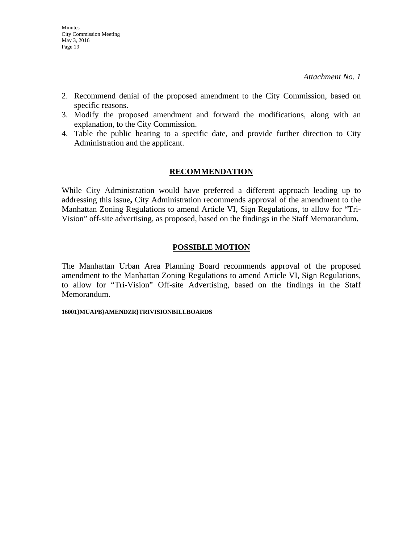- 2. Recommend denial of the proposed amendment to the City Commission, based on specific reasons.
- 3. Modify the proposed amendment and forward the modifications, along with an explanation, to the City Commission.
- 4. Table the public hearing to a specific date, and provide further direction to City Administration and the applicant.

#### **RECOMMENDATION**

While City Administration would have preferred a different approach leading up to addressing this issue**,** City Administration recommends approval of the amendment to the Manhattan Zoning Regulations to amend Article VI, Sign Regulations, to allow for "Tri-Vision" off-site advertising, as proposed, based on the findings in the Staff Memorandum**.** 

#### **POSSIBLE MOTION**

The Manhattan Urban Area Planning Board recommends approval of the proposed amendment to the Manhattan Zoning Regulations to amend Article VI, Sign Regulations, to allow for "Tri-Vision" Off-site Advertising, based on the findings in the Staff Memorandum.

#### **16001}MUAPB}AMENDZR}TRIVISIONBILLBOARDS**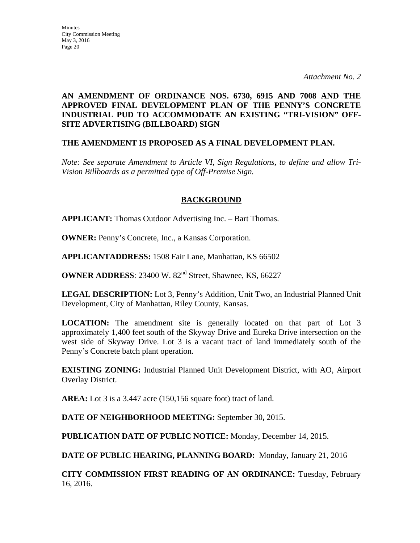### **AN AMENDMENT OF ORDINANCE NOS. 6730, 6915 AND 7008 AND THE APPROVED FINAL DEVELOPMENT PLAN OF THE PENNY'S CONCRETE INDUSTRIAL PUD TO ACCOMMODATE AN EXISTING "TRI-VISION" OFF-SITE ADVERTISING (BILLBOARD) SIGN**

#### **THE AMENDMENT IS PROPOSED AS A FINAL DEVELOPMENT PLAN.**

*Note: See separate Amendment to Article VI, Sign Regulations, to define and allow Tri-Vision Billboards as a permitted type of Off-Premise Sign.* 

#### **BACKGROUND**

**APPLICANT:** Thomas Outdoor Advertising Inc. – Bart Thomas.

**OWNER:** Penny's Concrete, Inc., a Kansas Corporation.

**APPLICANTADDRESS:** 1508 Fair Lane, Manhattan, KS 66502

**OWNER ADDRESS**: 23400 W. 82<sup>nd</sup> Street, Shawnee, KS, 66227

**LEGAL DESCRIPTION:** Lot 3, Penny's Addition, Unit Two, an Industrial Planned Unit Development, City of Manhattan, Riley County, Kansas.

**LOCATION:** The amendment site is generally located on that part of Lot 3 approximately 1,400 feet south of the Skyway Drive and Eureka Drive intersection on the west side of Skyway Drive. Lot 3 is a vacant tract of land immediately south of the Penny's Concrete batch plant operation.

**EXISTING ZONING:** Industrial Planned Unit Development District, with AO, Airport Overlay District.

**AREA:** Lot 3 is a 3.447 acre (150,156 square foot) tract of land.

**DATE OF NEIGHBORHOOD MEETING:** September 30**,** 2015.

**PUBLICATION DATE OF PUBLIC NOTICE:** Monday, December 14, 2015.

**DATE OF PUBLIC HEARING, PLANNING BOARD:** Monday, January 21, 2016

**CITY COMMISSION FIRST READING OF AN ORDINANCE:** Tuesday, February 16, 2016.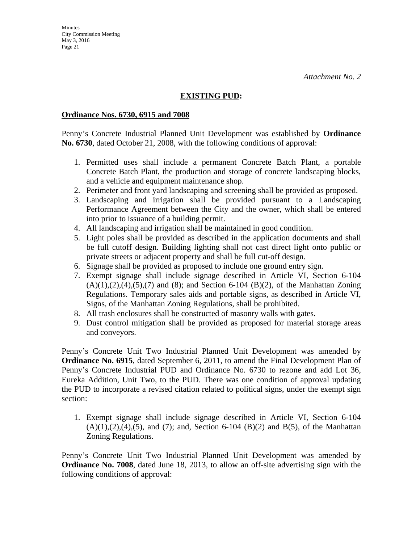### **EXISTING PUD:**

#### **Ordinance Nos. 6730, 6915 and 7008**

Penny's Concrete Industrial Planned Unit Development was established by **Ordinance No. 6730**, dated October 21, 2008, with the following conditions of approval:

- 1. Permitted uses shall include a permanent Concrete Batch Plant, a portable Concrete Batch Plant, the production and storage of concrete landscaping blocks, and a vehicle and equipment maintenance shop.
- 2. Perimeter and front yard landscaping and screening shall be provided as proposed.
- 3. Landscaping and irrigation shall be provided pursuant to a Landscaping Performance Agreement between the City and the owner, which shall be entered into prior to issuance of a building permit.
- 4. All landscaping and irrigation shall be maintained in good condition.
- 5. Light poles shall be provided as described in the application documents and shall be full cutoff design. Building lighting shall not cast direct light onto public or private streets or adjacent property and shall be full cut-off design.
- 6. Signage shall be provided as proposed to include one ground entry sign.
- 7. Exempt signage shall include signage described in Article VI, Section 6-104  $(A)(1),(2),(4),(5),(7)$  and  $(8)$ ; and Section 6-104  $(B)(2)$ , of the Manhattan Zoning Regulations. Temporary sales aids and portable signs, as described in Article VI, Signs, of the Manhattan Zoning Regulations, shall be prohibited.
- 8. All trash enclosures shall be constructed of masonry walls with gates.
- 9. Dust control mitigation shall be provided as proposed for material storage areas and conveyors.

Penny's Concrete Unit Two Industrial Planned Unit Development was amended by **Ordinance No. 6915**, dated September 6, 2011, to amend the Final Development Plan of Penny's Concrete Industrial PUD and Ordinance No. 6730 to rezone and add Lot 36, Eureka Addition, Unit Two, to the PUD. There was one condition of approval updating the PUD to incorporate a revised citation related to political signs, under the exempt sign section:

1. Exempt signage shall include signage described in Article VI, Section 6-104  $(A)(1),(2),(4),(5)$ , and  $(7)$ ; and, Section 6-104  $(B)(2)$  and  $B(5)$ , of the Manhattan Zoning Regulations.

Penny's Concrete Unit Two Industrial Planned Unit Development was amended by **Ordinance No. 7008**, dated June 18, 2013, to allow an off-site advertising sign with the following conditions of approval: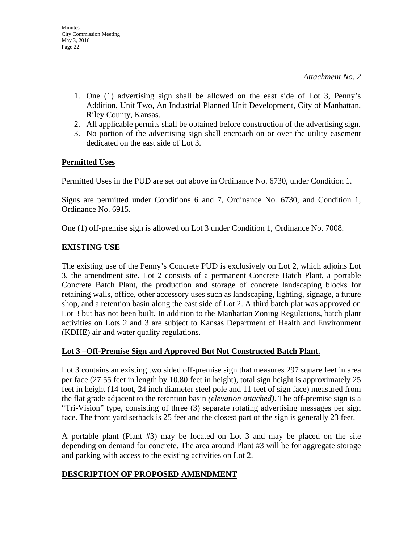- 1. One (1) advertising sign shall be allowed on the east side of Lot 3, Penny's Addition, Unit Two, An Industrial Planned Unit Development, City of Manhattan, Riley County, Kansas.
- 2. All applicable permits shall be obtained before construction of the advertising sign.
- 3. No portion of the advertising sign shall encroach on or over the utility easement dedicated on the east side of Lot 3.

#### **Permitted Uses**

Permitted Uses in the PUD are set out above in Ordinance No. 6730, under Condition 1.

Signs are permitted under Conditions 6 and 7, Ordinance No. 6730, and Condition 1, Ordinance No. 6915.

One (1) off-premise sign is allowed on Lot 3 under Condition 1, Ordinance No. 7008.

#### **EXISTING USE**

The existing use of the Penny's Concrete PUD is exclusively on Lot 2, which adjoins Lot 3, the amendment site. Lot 2 consists of a permanent Concrete Batch Plant, a portable Concrete Batch Plant, the production and storage of concrete landscaping blocks for retaining walls, office, other accessory uses such as landscaping, lighting, signage, a future shop, and a retention basin along the east side of Lot 2. A third batch plat was approved on Lot 3 but has not been built. In addition to the Manhattan Zoning Regulations, batch plant activities on Lots 2 and 3 are subject to Kansas Department of Health and Environment (KDHE) air and water quality regulations.

#### **Lot 3 –Off-Premise Sign and Approved But Not Constructed Batch Plant.**

Lot 3 contains an existing two sided off-premise sign that measures 297 square feet in area per face (27.55 feet in length by 10.80 feet in height), total sign height is approximately 25 feet in height (14 foot, 24 inch diameter steel pole and 11 feet of sign face) measured from the flat grade adjacent to the retention basin *(elevation attached)*. The off-premise sign is a "Tri-Vision" type, consisting of three (3) separate rotating advertising messages per sign face. The front yard setback is 25 feet and the closest part of the sign is generally 23 feet.

A portable plant (Plant #3) may be located on Lot 3 and may be placed on the site depending on demand for concrete. The area around Plant #3 will be for aggregate storage and parking with access to the existing activities on Lot 2.

#### **DESCRIPTION OF PROPOSED AMENDMENT**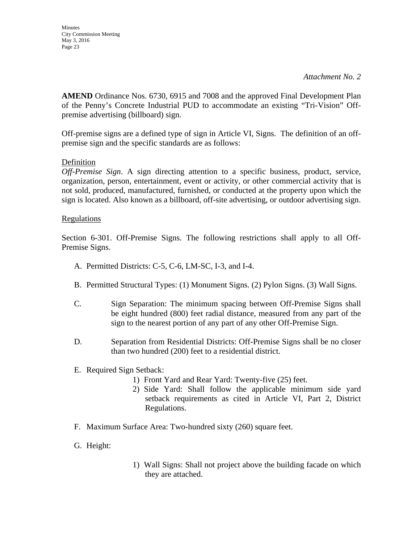**AMEND** Ordinance Nos. 6730, 6915 and 7008 and the approved Final Development Plan of the Penny's Concrete Industrial PUD to accommodate an existing "Tri-Vision" Offpremise advertising (billboard) sign.

Off-premise signs are a defined type of sign in Article VI, Signs. The definition of an offpremise sign and the specific standards are as follows:

#### Definition

*Off-Premise Sign*. A sign directing attention to a specific business, product, service, organization, person, entertainment, event or activity, or other commercial activity that is not sold, produced, manufactured, furnished, or conducted at the property upon which the sign is located. Also known as a billboard, off-site advertising, or outdoor advertising sign.

#### Regulations

Section 6-301. Off-Premise Signs. The following restrictions shall apply to all Off-Premise Signs.

- A. Permitted Districts: C-5, C-6, LM-SC, I-3, and I-4.
- B. Permitted Structural Types: (1) Monument Signs. (2) Pylon Signs. (3) Wall Signs.
- C. Sign Separation: The minimum spacing between Off-Premise Signs shall be eight hundred (800) feet radial distance, measured from any part of the sign to the nearest portion of any part of any other Off-Premise Sign.
- D. Separation from Residential Districts: Off-Premise Signs shall be no closer than two hundred (200) feet to a residential district.
- E. Required Sign Setback:
	- 1) Front Yard and Rear Yard: Twenty-five (25) feet.
	- 2) Side Yard: Shall follow the applicable minimum side yard setback requirements as cited in Article VI, Part 2, District Regulations.
- F. Maximum Surface Area: Two-hundred sixty (260) square feet.
- G. Height:
- 1) Wall Signs: Shall not project above the building facade on which they are attached.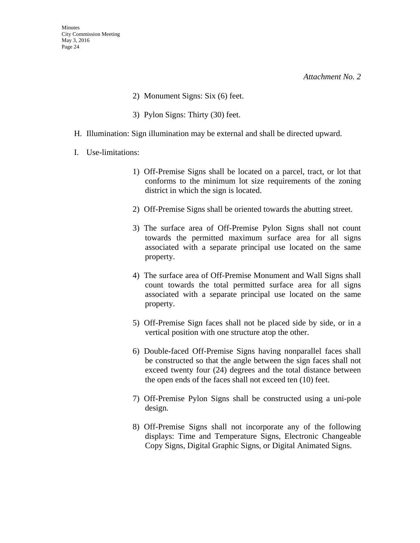- 2) Monument Signs: Six (6) feet.
- 3) Pylon Signs: Thirty (30) feet.
- H. Illumination: Sign illumination may be external and shall be directed upward.
- I. Use-limitations:
	- 1) Off-Premise Signs shall be located on a parcel, tract, or lot that conforms to the minimum lot size requirements of the zoning district in which the sign is located.
	- 2) Off-Premise Signs shall be oriented towards the abutting street.
	- 3) The surface area of Off-Premise Pylon Signs shall not count towards the permitted maximum surface area for all signs associated with a separate principal use located on the same property.
	- 4) The surface area of Off-Premise Monument and Wall Signs shall count towards the total permitted surface area for all signs associated with a separate principal use located on the same property.
	- 5) Off-Premise Sign faces shall not be placed side by side, or in a vertical position with one structure atop the other.
	- 6) Double-faced Off-Premise Signs having nonparallel faces shall be constructed so that the angle between the sign faces shall not exceed twenty four (24) degrees and the total distance between the open ends of the faces shall not exceed ten (10) feet.
	- 7) Off-Premise Pylon Signs shall be constructed using a uni-pole design.
	- 8) Off-Premise Signs shall not incorporate any of the following displays: Time and Temperature Signs, Electronic Changeable Copy Signs, Digital Graphic Signs, or Digital Animated Signs.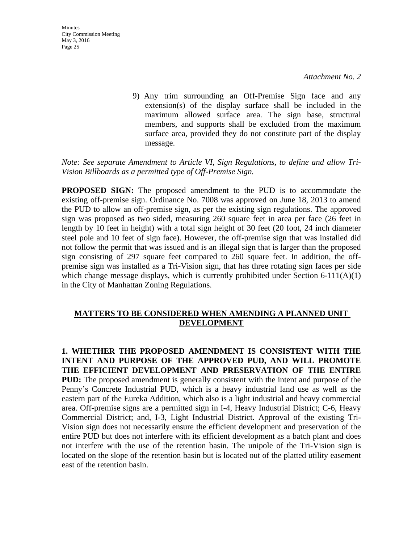9) Any trim surrounding an Off-Premise Sign face and any extension(s) of the display surface shall be included in the maximum allowed surface area. The sign base, structural members, and supports shall be excluded from the maximum surface area, provided they do not constitute part of the display message.

#### *Note: See separate Amendment to Article VI, Sign Regulations, to define and allow Tri-Vision Billboards as a permitted type of Off-Premise Sign.*

**PROPOSED SIGN:** The proposed amendment to the PUD is to accommodate the existing off-premise sign. Ordinance No. 7008 was approved on June 18, 2013 to amend the PUD to allow an off-premise sign, as per the existing sign regulations. The approved sign was proposed as two sided, measuring 260 square feet in area per face (26 feet in length by 10 feet in height) with a total sign height of 30 feet (20 foot, 24 inch diameter steel pole and 10 feet of sign face). However, the off-premise sign that was installed did not follow the permit that was issued and is an illegal sign that is larger than the proposed sign consisting of 297 square feet compared to 260 square feet. In addition, the offpremise sign was installed as a Tri-Vision sign, that has three rotating sign faces per side which change message displays, which is currently prohibited under Section  $6-111(A)(1)$ in the City of Manhattan Zoning Regulations.

#### **MATTERS TO BE CONSIDERED WHEN AMENDING A PLANNED UNIT DEVELOPMENT**

**1. WHETHER THE PROPOSED AMENDMENT IS CONSISTENT WITH THE INTENT AND PURPOSE OF THE APPROVED PUD, AND WILL PROMOTE THE EFFICIENT DEVELOPMENT AND PRESERVATION OF THE ENTIRE PUD:** The proposed amendment is generally consistent with the intent and purpose of the Penny's Concrete Industrial PUD, which is a heavy industrial land use as well as the eastern part of the Eureka Addition, which also is a light industrial and heavy commercial area. Off-premise signs are a permitted sign in I-4, Heavy Industrial District; C-6, Heavy Commercial District; and, I-3, Light Industrial District. Approval of the existing Tri-Vision sign does not necessarily ensure the efficient development and preservation of the entire PUD but does not interfere with its efficient development as a batch plant and does not interfere with the use of the retention basin. The unipole of the Tri-Vision sign is located on the slope of the retention basin but is located out of the platted utility easement east of the retention basin.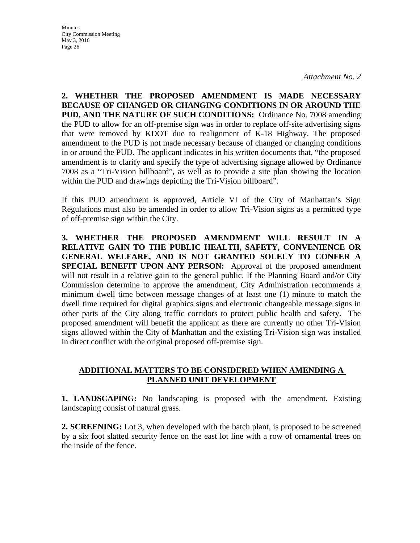*Attachment No. 2* 

**2. WHETHER THE PROPOSED AMENDMENT IS MADE NECESSARY BECAUSE OF CHANGED OR CHANGING CONDITIONS IN OR AROUND THE PUD, AND THE NATURE OF SUCH CONDITIONS:** Ordinance No. 7008 amending the PUD to allow for an off-premise sign was in order to replace off-site advertising signs that were removed by KDOT due to realignment of K-18 Highway. The proposed amendment to the PUD is not made necessary because of changed or changing conditions in or around the PUD. The applicant indicates in his written documents that, "the proposed amendment is to clarify and specify the type of advertising signage allowed by Ordinance 7008 as a "Tri-Vision billboard", as well as to provide a site plan showing the location within the PUD and drawings depicting the Tri-Vision billboard".

If this PUD amendment is approved, Article VI of the City of Manhattan's Sign Regulations must also be amended in order to allow Tri-Vision signs as a permitted type of off-premise sign within the City.

**3. WHETHER THE PROPOSED AMENDMENT WILL RESULT IN A RELATIVE GAIN TO THE PUBLIC HEALTH, SAFETY, CONVENIENCE OR GENERAL WELFARE, AND IS NOT GRANTED SOLELY TO CONFER A SPECIAL BENEFIT UPON ANY PERSON:** Approval of the proposed amendment will not result in a relative gain to the general public. If the Planning Board and/or City Commission determine to approve the amendment, City Administration recommends a minimum dwell time between message changes of at least one (1) minute to match the dwell time required for digital graphics signs and electronic changeable message signs in other parts of the City along traffic corridors to protect public health and safety. The proposed amendment will benefit the applicant as there are currently no other Tri-Vision signs allowed within the City of Manhattan and the existing Tri-Vision sign was installed in direct conflict with the original proposed off-premise sign.

#### **ADDITIONAL MATTERS TO BE CONSIDERED WHEN AMENDING A PLANNED UNIT DEVELOPMENT**

**1. LANDSCAPING:** No landscaping is proposed with the amendment. Existing landscaping consist of natural grass.

**2. SCREENING:** Lot 3, when developed with the batch plant, is proposed to be screened by a six foot slatted security fence on the east lot line with a row of ornamental trees on the inside of the fence.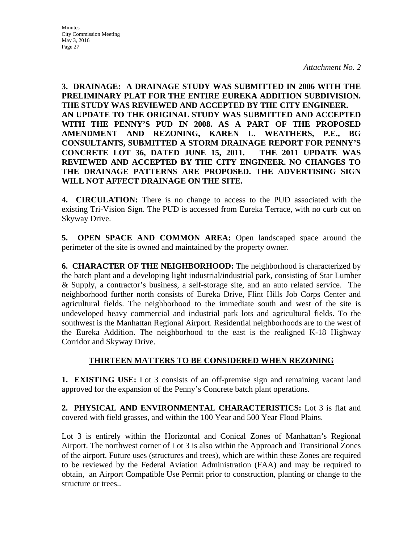**Minutes** City Commission Meeting May 3, 2016 Page 27

**3. DRAINAGE: A DRAINAGE STUDY WAS SUBMITTED IN 2006 WITH THE PRELIMINARY PLAT FOR THE ENTIRE EUREKA ADDITION SUBDIVISION. THE STUDY WAS REVIEWED AND ACCEPTED BY THE CITY ENGINEER. AN UPDATE TO THE ORIGINAL STUDY WAS SUBMITTED AND ACCEPTED WITH THE PENNY'S PUD IN 2008. AS A PART OF THE PROPOSED AMENDMENT AND REZONING, KAREN L. WEATHERS, P.E., BG CONSULTANTS, SUBMITTED A STORM DRAINAGE REPORT FOR PENNY'S CONCRETE LOT 36, DATED JUNE 15, 2011. THE 2011 UPDATE WAS REVIEWED AND ACCEPTED BY THE CITY ENGINEER. NO CHANGES TO THE DRAINAGE PATTERNS ARE PROPOSED. THE ADVERTISING SIGN WILL NOT AFFECT DRAINAGE ON THE SITE.**

**4. CIRCULATION:** There is no change to access to the PUD associated with the existing Tri-Vision Sign. The PUD is accessed from Eureka Terrace, with no curb cut on Skyway Drive.

**5. OPEN SPACE AND COMMON AREA:** Open landscaped space around the perimeter of the site is owned and maintained by the property owner.

**6. CHARACTER OF THE NEIGHBORHOOD:** The neighborhood is characterized by the batch plant and a developing light industrial/industrial park, consisting of Star Lumber & Supply, a contractor's business, a self-storage site, and an auto related service. The neighborhood further north consists of Eureka Drive, Flint Hills Job Corps Center and agricultural fields. The neighborhood to the immediate south and west of the site is undeveloped heavy commercial and industrial park lots and agricultural fields. To the southwest is the Manhattan Regional Airport. Residential neighborhoods are to the west of the Eureka Addition. The neighborhood to the east is the realigned K-18 Highway Corridor and Skyway Drive.

#### **THIRTEEN MATTERS TO BE CONSIDERED WHEN REZONING**

**1. EXISTING USE:** Lot 3 consists of an off-premise sign and remaining vacant land approved for the expansion of the Penny's Concrete batch plant operations.

**2. PHYSICAL AND ENVIRONMENTAL CHARACTERISTICS:** Lot 3 is flat and covered with field grasses, and within the 100 Year and 500 Year Flood Plains.

Lot 3 is entirely within the Horizontal and Conical Zones of Manhattan's Regional Airport. The northwest corner of Lot 3 is also within the Approach and Transitional Zones of the airport. Future uses (structures and trees), which are within these Zones are required to be reviewed by the Federal Aviation Administration (FAA) and may be required to obtain, an Airport Compatible Use Permit prior to construction, planting or change to the structure or trees..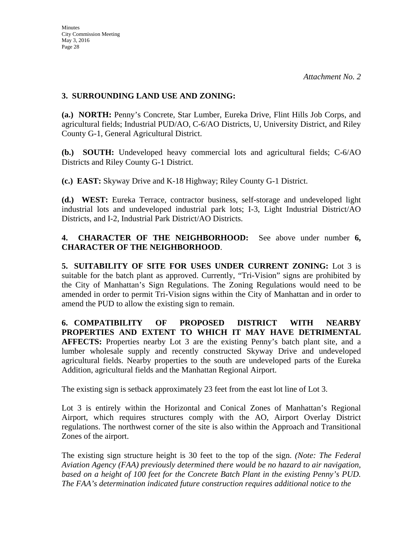#### **3. SURROUNDING LAND USE AND ZONING:**

**(a.) NORTH:** Penny's Concrete, Star Lumber, Eureka Drive, Flint Hills Job Corps, and agricultural fields; Industrial PUD/AO, C-6/AO Districts, U, University District, and Riley County G-1, General Agricultural District.

**(b.) SOUTH:** Undeveloped heavy commercial lots and agricultural fields; C-6/AO Districts and Riley County G-1 District.

**(c.) EAST:** Skyway Drive and K-18 Highway; Riley County G-1 District.

**(d.) WEST:** Eureka Terrace, contractor business, self-storage and undeveloped light industrial lots and undeveloped industrial park lots; I-3, Light Industrial District/AO Districts, and I-2, Industrial Park District/AO Districts.

**4. CHARACTER OF THE NEIGHBORHOOD:** See above under number **6, CHARACTER OF THE NEIGHBORHOOD**.

**5. SUITABILITY OF SITE FOR USES UNDER CURRENT ZONING:** Lot 3 is suitable for the batch plant as approved. Currently, "Tri-Vision" signs are prohibited by the City of Manhattan's Sign Regulations. The Zoning Regulations would need to be amended in order to permit Tri-Vision signs within the City of Manhattan and in order to amend the PUD to allow the existing sign to remain.

**6. COMPATIBILITY OF PROPOSED DISTRICT WITH NEARBY PROPERTIES AND EXTENT TO WHICH IT MAY HAVE DETRIMENTAL AFFECTS:** Properties nearby Lot 3 are the existing Penny's batch plant site, and a lumber wholesale supply and recently constructed Skyway Drive and undeveloped agricultural fields. Nearby properties to the south are undeveloped parts of the Eureka Addition, agricultural fields and the Manhattan Regional Airport.

The existing sign is setback approximately 23 feet from the east lot line of Lot 3.

Lot 3 is entirely within the Horizontal and Conical Zones of Manhattan's Regional Airport, which requires structures comply with the AO, Airport Overlay District regulations. The northwest corner of the site is also within the Approach and Transitional Zones of the airport.

The existing sign structure height is 30 feet to the top of the sign. *(Note: The Federal Aviation Agency (FAA) previously determined there would be no hazard to air navigation, based on a height of 100 feet for the Concrete Batch Plant in the existing Penny's PUD. The FAA's determination indicated future construction requires additional notice to the*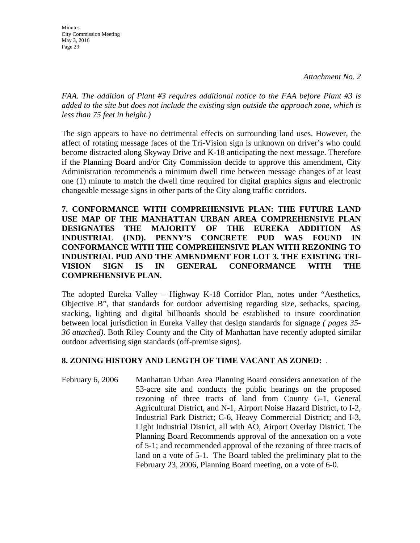*FAA. The addition of Plant #3 requires additional notice to the FAA before Plant #3 is added to the site but does not include the existing sign outside the approach zone, which is less than 75 feet in height.)* 

The sign appears to have no detrimental effects on surrounding land uses. However, the affect of rotating message faces of the Tri-Vision sign is unknown on driver's who could become distracted along Skyway Drive and K-18 anticipating the next message. Therefore if the Planning Board and/or City Commission decide to approve this amendment, City Administration recommends a minimum dwell time between message changes of at least one (1) minute to match the dwell time required for digital graphics signs and electronic changeable message signs in other parts of the City along traffic corridors.

**7. CONFORMANCE WITH COMPREHENSIVE PLAN: THE FUTURE LAND USE MAP OF THE MANHATTAN URBAN AREA COMPREHENSIVE PLAN DESIGNATES THE MAJORITY OF THE EUREKA ADDITION AS INDUSTRIAL (IND). PENNY'S CONCRETE PUD WAS FOUND IN CONFORMANCE WITH THE COMPREHENSIVE PLAN WITH REZONING TO INDUSTRIAL PUD AND THE AMENDMENT FOR LOT 3. THE EXISTING TRI-VISION SIGN IS IN GENERAL CONFORMANCE WITH THE COMPREHENSIVE PLAN.**

The adopted Eureka Valley – Highway K-18 Corridor Plan, notes under "Aesthetics, Objective B", that standards for outdoor advertising regarding size, setbacks, spacing, stacking, lighting and digital billboards should be established to insure coordination between local jurisdiction in Eureka Valley that design standards for signage *( pages 35- 36 attached)*. Both Riley County and the City of Manhattan have recently adopted similar outdoor advertising sign standards (off-premise signs).

#### **8. ZONING HISTORY AND LENGTH OF TIME VACANT AS ZONED:** .

February 6, 2006 Manhattan Urban Area Planning Board considers annexation of the 53-acre site and conducts the public hearings on the proposed rezoning of three tracts of land from County G-1, General Agricultural District, and N**-**1, Airport Noise Hazard District, to I-2, Industrial Park District; C-6, Heavy Commercial District; and I-3, Light Industrial District, all with AO, Airport Overlay District. The Planning Board Recommends approval of the annexation on a vote of 5-1; and recommended approval of the rezoning of three tracts of land on a vote of 5-1. The Board tabled the preliminary plat to the February 23, 2006, Planning Board meeting, on a vote of 6-0.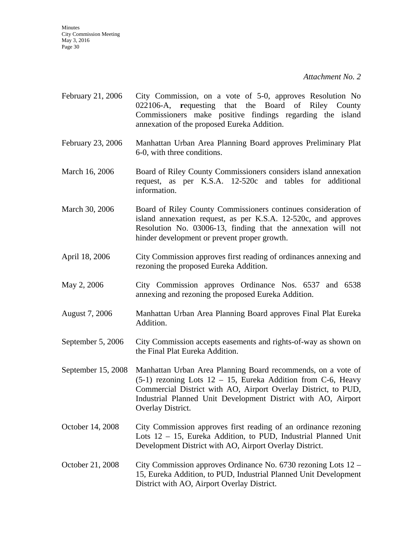*Attachment No. 2* 

- February 21, 2006 City Commission, on a vote of 5-0, approves Resolution No 022106-A, **r**equesting that the Board of Riley County Commissioners make positive findings regarding the island annexation of the proposed Eureka Addition.
- February 23, 2006 Manhattan Urban Area Planning Board approves Preliminary Plat 6-0, with three conditions.
- March 16, 2006 Board of Riley County Commissioners considers island annexation request, as per K.S.A. 12-520c and tables for additional information.
- March 30, 2006 Board of Riley County Commissioners continues consideration of island annexation request, as per K.S.A. 12-520c, and approves Resolution No. 03006-13, finding that the annexation will not hinder development or prevent proper growth.
- April 18, 2006 City Commission approves first reading of ordinances annexing and rezoning the proposed Eureka Addition.
- May 2, 2006 City Commission approves Ordinance Nos. 6537 and 6538 annexing and rezoning the proposed Eureka Addition.
- August 7, 2006 Manhattan Urban Area Planning Board approves Final Plat Eureka Addition.
- September 5, 2006 City Commission accepts easements and rights-of-way as shown on the Final Plat Eureka Addition.
- September 15, 2008 Manhattan Urban Area Planning Board recommends, on a vote of  $(5-1)$  rezoning Lots  $12 - 15$ , Eureka Addition from C-6, Heavy Commercial District with AO, Airport Overlay District, to PUD, Industrial Planned Unit Development District with AO, Airport Overlay District.
- October 14, 2008 City Commission approves first reading of an ordinance rezoning Lots 12 – 15, Eureka Addition, to PUD, Industrial Planned Unit Development District with AO, Airport Overlay District.
- October 21, 2008 City Commission approves Ordinance No. 6730 rezoning Lots 12 15, Eureka Addition, to PUD, Industrial Planned Unit Development District with AO, Airport Overlay District.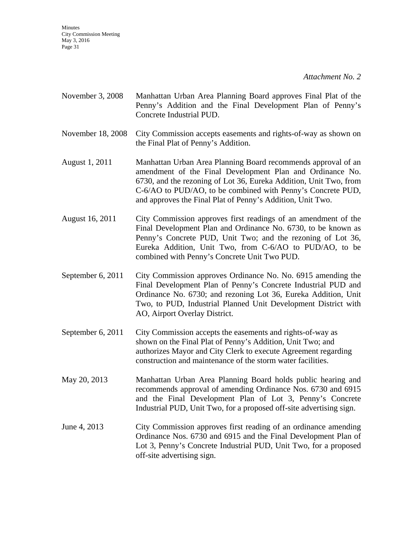*Attachment No. 2* 

- November 3, 2008 Manhattan Urban Area Planning Board approves Final Plat of the Penny's Addition and the Final Development Plan of Penny's Concrete Industrial PUD.
- November 18, 2008 City Commission accepts easements and rights-of-way as shown on the Final Plat of Penny's Addition.
- August 1, 2011 Manhattan Urban Area Planning Board recommends approval of an amendment of the Final Development Plan and Ordinance No. 6730, and the rezoning of Lot 36, Eureka Addition, Unit Two, from C-6/AO to PUD/AO, to be combined with Penny's Concrete PUD, and approves the Final Plat of Penny's Addition, Unit Two.
- August 16, 2011 City Commission approves first readings of an amendment of the Final Development Plan and Ordinance No. 6730, to be known as Penny's Concrete PUD, Unit Two; and the rezoning of Lot 36, Eureka Addition, Unit Two, from C-6/AO to PUD/AO, to be combined with Penny's Concrete Unit Two PUD.
- September 6, 2011 City Commission approves Ordinance No. No. 6915 amending the Final Development Plan of Penny's Concrete Industrial PUD and Ordinance No. 6730; and rezoning Lot 36, Eureka Addition, Unit Two, to PUD, Industrial Planned Unit Development District with AO, Airport Overlay District.
- September 6, 2011 City Commission accepts the easements and rights-of-way as shown on the Final Plat of Penny's Addition, Unit Two; and authorizes Mayor and City Clerk to execute Agreement regarding construction and maintenance of the storm water facilities.
- May 20, 2013 Manhattan Urban Area Planning Board holds public hearing and recommends approval of amending Ordinance Nos. 6730 and 6915 and the Final Development Plan of Lot 3, Penny's Concrete Industrial PUD, Unit Two, for a proposed off-site advertising sign.
- June 4, 2013 City Commission approves first reading of an ordinance amending Ordinance Nos. 6730 and 6915 and the Final Development Plan of Lot 3, Penny's Concrete Industrial PUD, Unit Two, for a proposed off-site advertising sign.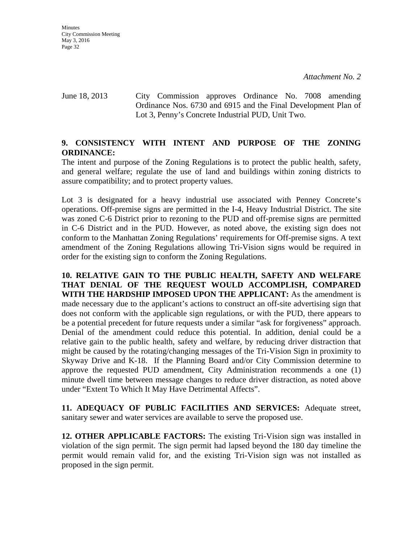June 18, 2013 City Commission approves Ordinance No. 7008 amending Ordinance Nos. 6730 and 6915 and the Final Development Plan of Lot 3, Penny's Concrete Industrial PUD, Unit Two.

#### **9. CONSISTENCY WITH INTENT AND PURPOSE OF THE ZONING ORDINANCE:**

The intent and purpose of the Zoning Regulations is to protect the public health, safety, and general welfare; regulate the use of land and buildings within zoning districts to assure compatibility; and to protect property values.

Lot 3 is designated for a heavy industrial use associated with Penney Concrete's operations. Off-premise signs are permitted in the I-4, Heavy Industrial District. The site was zoned C-6 District prior to rezoning to the PUD and off-premise signs are permitted in C-6 District and in the PUD. However, as noted above, the existing sign does not conform to the Manhattan Zoning Regulations' requirements for Off-premise signs. A text amendment of the Zoning Regulations allowing Tri-Vision signs would be required in order for the existing sign to conform the Zoning Regulations.

**10. RELATIVE GAIN TO THE PUBLIC HEALTH, SAFETY AND WELFARE THAT DENIAL OF THE REQUEST WOULD ACCOMPLISH, COMPARED WITH THE HARDSHIP IMPOSED UPON THE APPLICANT:** As the amendment is made necessary due to the applicant's actions to construct an off-site advertising sign that does not conform with the applicable sign regulations, or with the PUD, there appears to be a potential precedent for future requests under a similar "ask for forgiveness" approach. Denial of the amendment could reduce this potential. In addition, denial could be a relative gain to the public health, safety and welfare, by reducing driver distraction that might be caused by the rotating/changing messages of the Tri-Vision Sign in proximity to Skyway Drive and K-18. If the Planning Board and/or City Commission determine to approve the requested PUD amendment, City Administration recommends a one (1) minute dwell time between message changes to reduce driver distraction, as noted above under "Extent To Which It May Have Detrimental Affects".

**11. ADEQUACY OF PUBLIC FACILITIES AND SERVICES:** Adequate street, sanitary sewer and water services are available to serve the proposed use.

**12. OTHER APPLICABLE FACTORS:** The existing Tri-Vision sign was installed in violation of the sign permit. The sign permit had lapsed beyond the 180 day timeline the permit would remain valid for, and the existing Tri-Vision sign was not installed as proposed in the sign permit.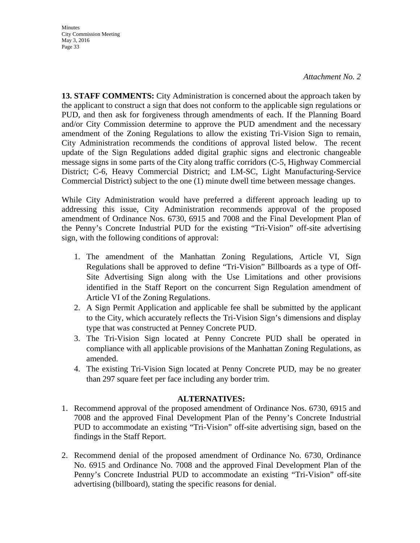#### *Attachment No. 2*

**13. STAFF COMMENTS:** City Administration is concerned about the approach taken by the applicant to construct a sign that does not conform to the applicable sign regulations or PUD, and then ask for forgiveness through amendments of each. If the Planning Board and/or City Commission determine to approve the PUD amendment and the necessary amendment of the Zoning Regulations to allow the existing Tri-Vision Sign to remain, City Administration recommends the conditions of approval listed below. The recent update of the Sign Regulations added digital graphic signs and electronic changeable message signs in some parts of the City along traffic corridors (C-5, Highway Commercial District; C-6, Heavy Commercial District; and LM-SC, Light Manufacturing-Service Commercial District) subject to the one (1) minute dwell time between message changes.

While City Administration would have preferred a different approach leading up to addressing this issue, City Administration recommends approval of the proposed amendment of Ordinance Nos. 6730, 6915 and 7008 and the Final Development Plan of the Penny's Concrete Industrial PUD for the existing "Tri-Vision" off-site advertising sign, with the following conditions of approval:

- 1. The amendment of the Manhattan Zoning Regulations, Article VI, Sign Regulations shall be approved to define "Tri-Vision" Billboards as a type of Off-Site Advertising Sign along with the Use Limitations and other provisions identified in the Staff Report on the concurrent Sign Regulation amendment of Article VI of the Zoning Regulations.
- 2. A Sign Permit Application and applicable fee shall be submitted by the applicant to the City, which accurately reflects the Tri-Vision Sign's dimensions and display type that was constructed at Penney Concrete PUD.
- 3. The Tri-Vision Sign located at Penny Concrete PUD shall be operated in compliance with all applicable provisions of the Manhattan Zoning Regulations, as amended.
- 4. The existing Tri-Vision Sign located at Penny Concrete PUD, may be no greater than 297 square feet per face including any border trim.

#### **ALTERNATIVES:**

- 1. Recommend approval of the proposed amendment of Ordinance Nos. 6730, 6915 and 7008 and the approved Final Development Plan of the Penny's Concrete Industrial PUD to accommodate an existing "Tri-Vision" off-site advertising sign, based on the findings in the Staff Report.
- 2. Recommend denial of the proposed amendment of Ordinance No. 6730, Ordinance No. 6915 and Ordinance No. 7008 and the approved Final Development Plan of the Penny's Concrete Industrial PUD to accommodate an existing "Tri-Vision" off-site advertising (billboard), stating the specific reasons for denial.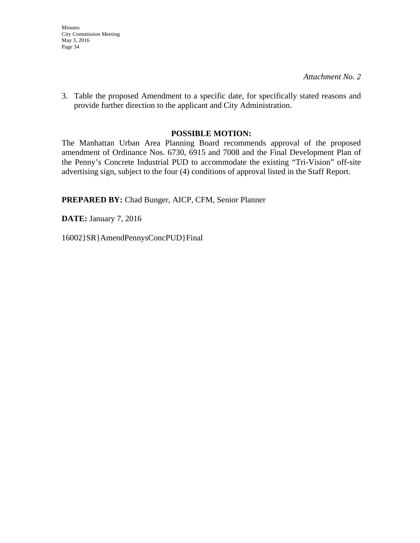*Attachment No. 2* 

3. Table the proposed Amendment to a specific date, for specifically stated reasons and provide further direction to the applicant and City Administration.

#### **POSSIBLE MOTION:**

The Manhattan Urban Area Planning Board recommends approval of the proposed amendment of Ordinance Nos. 6730, 6915 and 7008 and the Final Development Plan of the Penny's Concrete Industrial PUD to accommodate the existing "Tri-Vision" off-site advertising sign, subject to the four (4) conditions of approval listed in the Staff Report.

**PREPARED BY:** Chad Bunger, AICP, CFM, Senior Planner

**DATE:** January 7, 2016

16002}SR}AmendPennysConcPUD}Final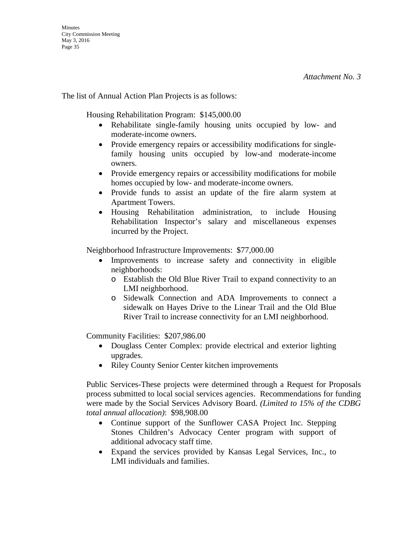The list of Annual Action Plan Projects is as follows:

Housing Rehabilitation Program: \$145,000.00

- Rehabilitate single-family housing units occupied by low- and moderate-income owners.
- Provide emergency repairs or accessibility modifications for singlefamily housing units occupied by low-and moderate-income owners.
- Provide emergency repairs or accessibility modifications for mobile homes occupied by low- and moderate-income owners.
- Provide funds to assist an update of the fire alarm system at Apartment Towers.
- Housing Rehabilitation administration, to include Housing Rehabilitation Inspector's salary and miscellaneous expenses incurred by the Project.

Neighborhood Infrastructure Improvements: \$77,000.00

- Improvements to increase safety and connectivity in eligible neighborhoods:
	- o Establish the Old Blue River Trail to expand connectivity to an LMI neighborhood.
	- o Sidewalk Connection and ADA Improvements to connect a sidewalk on Hayes Drive to the Linear Trail and the Old Blue River Trail to increase connectivity for an LMI neighborhood.

Community Facilities: \$207,986.00

- Douglass Center Complex: provide electrical and exterior lighting upgrades.
- Riley County Senior Center kitchen improvements

Public Services-These projects were determined through a Request for Proposals process submitted to local social services agencies. Recommendations for funding were made by the Social Services Advisory Board. *(Limited to 15% of the CDBG total annual allocation)*: \$98,908.00

- Continue support of the Sunflower CASA Project Inc. Stepping Stones Children's Advocacy Center program with support of additional advocacy staff time.
- Expand the services provided by Kansas Legal Services, Inc., to LMI individuals and families.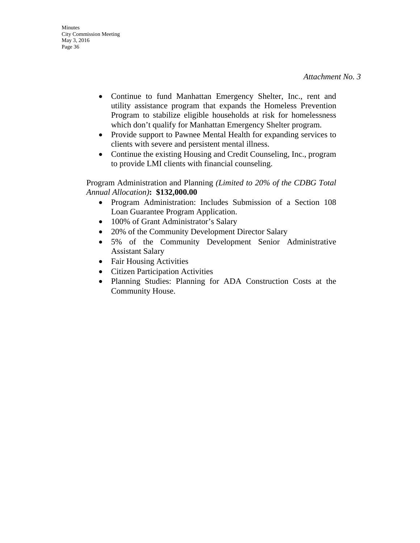- Continue to fund Manhattan Emergency Shelter, Inc., rent and utility assistance program that expands the Homeless Prevention Program to stabilize eligible households at risk for homelessness which don't qualify for Manhattan Emergency Shelter program.
- Provide support to Pawnee Mental Health for expanding services to clients with severe and persistent mental illness.
- Continue the existing Housing and Credit Counseling, Inc., program to provide LMI clients with financial counseling.

Program Administration and Planning *(Limited to 20% of the CDBG Total Annual Allocation)***: \$132,000.00**

- Program Administration: Includes Submission of a Section 108 Loan Guarantee Program Application.
- 100% of Grant Administrator's Salary
- 20% of the Community Development Director Salary
- 5% of the Community Development Senior Administrative Assistant Salary
- Fair Housing Activities
- Citizen Participation Activities
- Planning Studies: Planning for ADA Construction Costs at the Community House.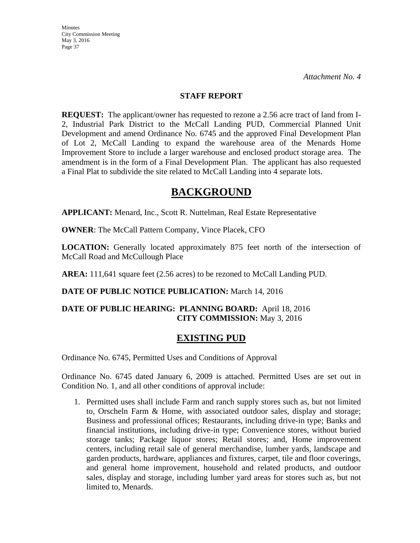**Minutes** City Commission Meeting May 3, 2016 Page 37

#### **STAFF REPORT**

**REQUEST:** The applicant/owner has requested to rezone a 2.56 acre tract of land from I-2, Industrial Park District to the McCall Landing PUD, Commercial Planned Unit Development and amend Ordinance No. 6745 and the approved Final Development Plan of Lot 2, McCall Landing to expand the warehouse area of the Menards Home Improvement Store to include a larger warehouse and enclosed product storage area. The amendment is in the form of a Final Development Plan. The applicant has also requested a Final Plat to subdivide the site related to McCall Landing into 4 separate lots.

# **BACKGROUND**

**APPLICANT:** Menard, Inc., Scott R. Nuttelman, Real Estate Representative

**OWNER**: The McCall Pattern Company, Vince Placek, CFO

**LOCATION:** Generally located approximately 875 feet north of the intersection of McCall Road and McCullough Place

AREA: 111,641 square feet (2.56 acres) to be rezoned to McCall Landing PUD.

## **DATE OF PUBLIC NOTICE PUBLICATION:** March 14, 2016

## **DATE OF PUBLIC HEARING: PLANNING BOARD:** April 18, 2016 **CITY COMMISSION:** May 3, 2016

## **EXISTING PUD**

Ordinance No. 6745, Permitted Uses and Conditions of Approval

Ordinance No. 6745 dated January 6, 2009 is attached. Permitted Uses are set out in Condition No. 1, and all other conditions of approval include:

1. Permitted uses shall include Farm and ranch supply stores such as, but not limited to, Orscheln Farm & Home, with associated outdoor sales, display and storage; Business and professional offices; Restaurants, including drive-in type; Banks and financial institutions, including drive-in type; Convenience stores, without buried storage tanks; Package liquor stores; Retail stores; and, Home improvement centers, including retail sale of general merchandise, lumber yards, landscape and garden products, hardware, appliances and fixtures, carpet, tile and floor coverings, and general home improvement, household and related products, and outdoor sales, display and storage, including lumber yard areas for stores such as, but not limited to, Menards.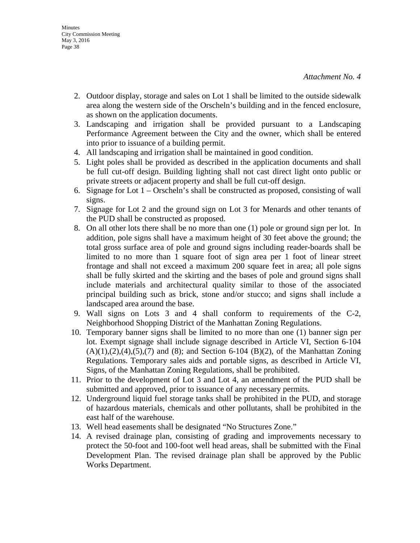- 2. Outdoor display, storage and sales on Lot 1 shall be limited to the outside sidewalk area along the western side of the Orscheln's building and in the fenced enclosure, as shown on the application documents.
- 3. Landscaping and irrigation shall be provided pursuant to a Landscaping Performance Agreement between the City and the owner, which shall be entered into prior to issuance of a building permit.
- 4. All landscaping and irrigation shall be maintained in good condition.
- 5. Light poles shall be provided as described in the application documents and shall be full cut-off design. Building lighting shall not cast direct light onto public or private streets or adjacent property and shall be full cut-off design.
- 6. Signage for Lot 1 Orscheln's shall be constructed as proposed, consisting of wall signs.
- 7. Signage for Lot 2 and the ground sign on Lot 3 for Menards and other tenants of the PUD shall be constructed as proposed.
- 8. On all other lots there shall be no more than one (1) pole or ground sign per lot. In addition, pole signs shall have a maximum height of 30 feet above the ground; the total gross surface area of pole and ground signs including reader-boards shall be limited to no more than 1 square foot of sign area per 1 foot of linear street frontage and shall not exceed a maximum 200 square feet in area; all pole signs shall be fully skirted and the skirting and the bases of pole and ground signs shall include materials and architectural quality similar to those of the associated principal building such as brick, stone and/or stucco; and signs shall include a landscaped area around the base.
- 9. Wall signs on Lots 3 and 4 shall conform to requirements of the C-2, Neighborhood Shopping District of the Manhattan Zoning Regulations.
- 10. Temporary banner signs shall be limited to no more than one (1) banner sign per lot. Exempt signage shall include signage described in Article VI, Section 6-104  $(A)(1),(2),(4),(5),(7)$  and  $(8)$ ; and Section 6-104  $(B)(2)$ , of the Manhattan Zoning Regulations. Temporary sales aids and portable signs, as described in Article VI, Signs, of the Manhattan Zoning Regulations, shall be prohibited.
- 11. Prior to the development of Lot 3 and Lot 4, an amendment of the PUD shall be submitted and approved, prior to issuance of any necessary permits.
- 12. Underground liquid fuel storage tanks shall be prohibited in the PUD, and storage of hazardous materials, chemicals and other pollutants, shall be prohibited in the east half of the warehouse.
- 13. Well head easements shall be designated "No Structures Zone."
- 14. A revised drainage plan, consisting of grading and improvements necessary to protect the 50-foot and 100-foot well head areas, shall be submitted with the Final Development Plan. The revised drainage plan shall be approved by the Public Works Department.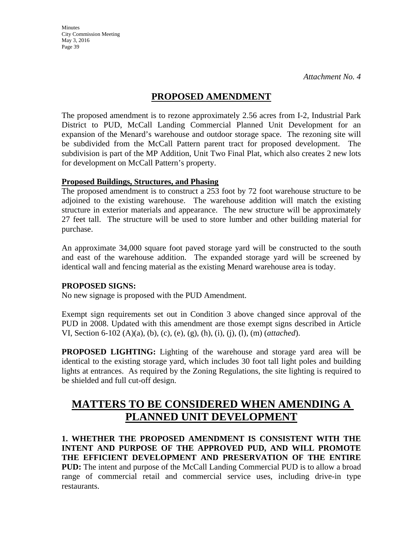## **PROPOSED AMENDMENT**

The proposed amendment is to rezone approximately 2.56 acres from I-2, Industrial Park District to PUD, McCall Landing Commercial Planned Unit Development for an expansion of the Menard's warehouse and outdoor storage space. The rezoning site will be subdivided from the McCall Pattern parent tract for proposed development. The subdivision is part of the MP Addition, Unit Two Final Plat, which also creates 2 new lots for development on McCall Pattern's property.

## **Proposed Buildings, Structures, and Phasing**

The proposed amendment is to construct a 253 foot by 72 foot warehouse structure to be adjoined to the existing warehouse. The warehouse addition will match the existing structure in exterior materials and appearance. The new structure will be approximately 27 feet tall. The structure will be used to store lumber and other building material for purchase.

An approximate 34,000 square foot paved storage yard will be constructed to the south and east of the warehouse addition. The expanded storage yard will be screened by identical wall and fencing material as the existing Menard warehouse area is today.

## **PROPOSED SIGNS:**

No new signage is proposed with the PUD Amendment.

Exempt sign requirements set out in Condition 3 above changed since approval of the PUD in 2008. Updated with this amendment are those exempt signs described in Article VI, Section 6-102 (A)(a), (b), (c), (e), (g), (h), (i), (j), (l), (m) (*attached*).

**PROPOSED LIGHTING:** Lighting of the warehouse and storage yard area will be identical to the existing storage yard, which includes 30 foot tall light poles and building lights at entrances. As required by the Zoning Regulations, the site lighting is required to be shielded and full cut-off design.

# **MATTERS TO BE CONSIDERED WHEN AMENDING A PLANNED UNIT DEVELOPMENT**

**1. WHETHER THE PROPOSED AMENDMENT IS CONSISTENT WITH THE INTENT AND PURPOSE OF THE APPROVED PUD, AND WILL PROMOTE THE EFFICIENT DEVELOPMENT AND PRESERVATION OF THE ENTIRE PUD:** The intent and purpose of the McCall Landing Commercial PUD is to allow a broad range of commercial retail and commercial service uses, including drive-in type restaurants.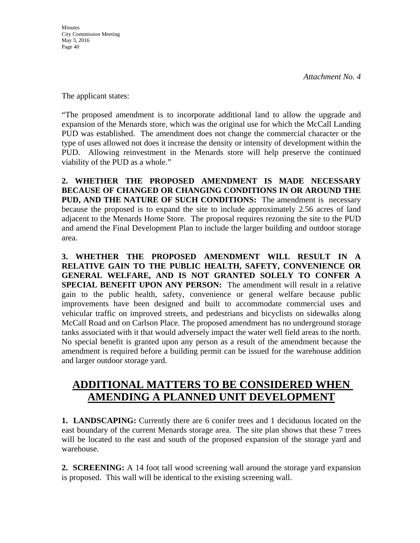The applicant states:

"The proposed amendment is to incorporate additional land to allow the upgrade and expansion of the Menards store, which was the original use for which the McCall Landing PUD was established. The amendment does not change the commercial character or the type of uses allowed not does it increase the density or intensity of development within the PUD. Allowing reinvestment in the Menards store will help preserve the continued viability of the PUD as a whole."

**2. WHETHER THE PROPOSED AMENDMENT IS MADE NECESSARY BECAUSE OF CHANGED OR CHANGING CONDITIONS IN OR AROUND THE PUD, AND THE NATURE OF SUCH CONDITIONS:** The amendment is necessary because the proposed is to expand the site to include approximately 2.56 acres of land adjacent to the Menards Home Store. The proposal requires rezoning the site to the PUD and amend the Final Development Plan to include the larger building and outdoor storage area.

**3. WHETHER THE PROPOSED AMENDMENT WILL RESULT IN A RELATIVE GAIN TO THE PUBLIC HEALTH, SAFETY, CONVENIENCE OR GENERAL WELFARE, AND IS NOT GRANTED SOLELY TO CONFER A SPECIAL BENEFIT UPON ANY PERSON:** The amendment will result in a relative gain to the public health, safety, convenience or general welfare because public improvements have been designed and built to accommodate commercial uses and vehicular traffic on improved streets, and pedestrians and bicyclists on sidewalks along McCall Road and on Carlson Place. The proposed amendment has no underground storage tanks associated with it that would adversely impact the water well field areas to the north. No special benefit is granted upon any person as a result of the amendment because the amendment is required before a building permit can be issued for the warehouse addition and larger outdoor storage yard.

# **ADDITIONAL MATTERS TO BE CONSIDERED WHEN AMENDING A PLANNED UNIT DEVELOPMENT**

**1. LANDSCAPING:** Currently there are 6 conifer trees and 1 deciduous located on the east boundary of the current Menards storage area. The site plan shows that these 7 trees will be located to the east and south of the proposed expansion of the storage yard and warehouse.

**2. SCREENING:** A 14 foot tall wood screening wall around the storage yard expansion is proposed. This wall will be identical to the existing screening wall.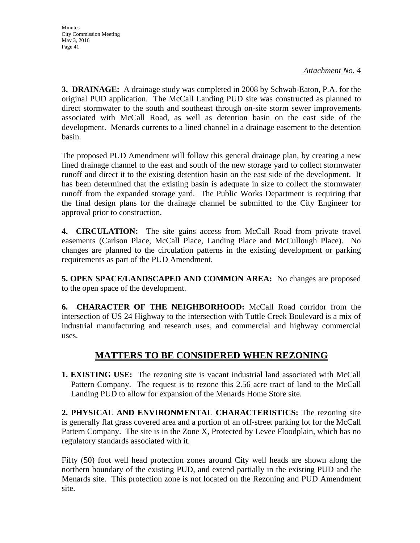**3. DRAINAGE:** A drainage study was completed in 2008 by Schwab-Eaton, P.A. for the original PUD application. The McCall Landing PUD site was constructed as planned to direct stormwater to the south and southeast through on-site storm sewer improvements associated with McCall Road, as well as detention basin on the east side of the development. Menards currents to a lined channel in a drainage easement to the detention basin.

The proposed PUD Amendment will follow this general drainage plan, by creating a new lined drainage channel to the east and south of the new storage yard to collect stormwater runoff and direct it to the existing detention basin on the east side of the development. It has been determined that the existing basin is adequate in size to collect the stormwater runoff from the expanded storage yard. The Public Works Department is requiring that the final design plans for the drainage channel be submitted to the City Engineer for approval prior to construction.

**4. CIRCULATION:** The site gains access from McCall Road from private travel easements (Carlson Place, McCall Place, Landing Place and McCullough Place). No changes are planned to the circulation patterns in the existing development or parking requirements as part of the PUD Amendment.

**5. OPEN SPACE/LANDSCAPED AND COMMON AREA:** No changes are proposed to the open space of the development.

**6. CHARACTER OF THE NEIGHBORHOOD:** McCall Road corridor from the intersection of US 24 Highway to the intersection with Tuttle Creek Boulevard is a mix of industrial manufacturing and research uses, and commercial and highway commercial uses.

## **MATTERS TO BE CONSIDERED WHEN REZONING**

**1. EXISTING USE:** The rezoning site is vacant industrial land associated with McCall Pattern Company. The request is to rezone this 2.56 acre tract of land to the McCall Landing PUD to allow for expansion of the Menards Home Store site.

**2. PHYSICAL AND ENVIRONMENTAL CHARACTERISTICS:** The rezoning site is generally flat grass covered area and a portion of an off-street parking lot for the McCall Pattern Company. The site is in the Zone X, Protected by Levee Floodplain, which has no regulatory standards associated with it.

Fifty (50) foot well head protection zones around City well heads are shown along the northern boundary of the existing PUD, and extend partially in the existing PUD and the Menards site. This protection zone is not located on the Rezoning and PUD Amendment site.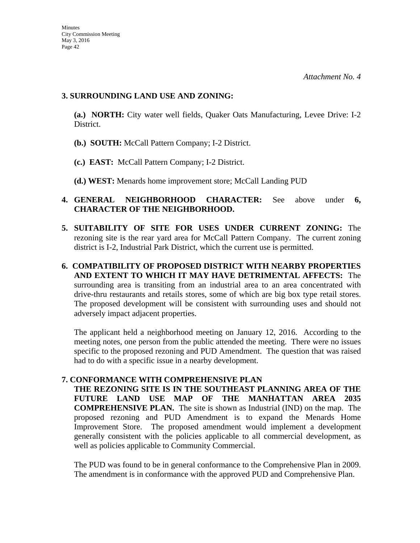#### **3. SURROUNDING LAND USE AND ZONING:**

**(a.) NORTH:** City water well fields, Quaker Oats Manufacturing, Levee Drive: I-2 District.

- **(b.) SOUTH:** McCall Pattern Company; I-2 District.
- **(c.) EAST:** McCall Pattern Company; I-2 District.
- **(d.) WEST:** Menards home improvement store; McCall Landing PUD

## **4. GENERAL NEIGHBORHOOD CHARACTER:** See above under **6, CHARACTER OF THE NEIGHBORHOOD.**

- **5. SUITABILITY OF SITE FOR USES UNDER CURRENT ZONING:** The rezoning site is the rear yard area for McCall Pattern Company. The current zoning district is I-2, Industrial Park District, which the current use is permitted.
- **6. COMPATIBILITY OF PROPOSED DISTRICT WITH NEARBY PROPERTIES AND EXTENT TO WHICH IT MAY HAVE DETRIMENTAL AFFECTS:** The surrounding area is transiting from an industrial area to an area concentrated with drive-thru restaurants and retails stores, some of which are big box type retail stores. The proposed development will be consistent with surrounding uses and should not adversely impact adjacent properties.

The applicant held a neighborhood meeting on January 12, 2016. According to the meeting notes, one person from the public attended the meeting. There were no issues specific to the proposed rezoning and PUD Amendment. The question that was raised had to do with a specific issue in a nearby development.

## **7. CONFORMANCE WITH COMPREHENSIVE PLAN**

**THE REZONING SITE IS IN THE SOUTHEAST PLANNING AREA OF THE FUTURE LAND USE MAP OF THE MANHATTAN AREA 2035 COMPREHENSIVE PLAN.** The site is shown as Industrial (IND) on the map. The proposed rezoning and PUD Amendment is to expand the Menards Home Improvement Store. The proposed amendment would implement a development generally consistent with the policies applicable to all commercial development, as well as policies applicable to Community Commercial.

The PUD was found to be in general conformance to the Comprehensive Plan in 2009. The amendment is in conformance with the approved PUD and Comprehensive Plan.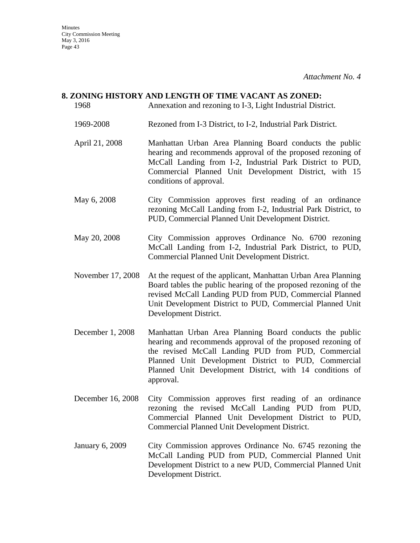## **8. ZONING HISTORY AND LENGTH OF TIME VACANT AS ZONED:**

- 1968 Annexation and rezoning to I-3, Light Industrial District. 1969-2008 Rezoned from I-3 District, to I-2, Industrial Park District. April 21, 2008 Manhattan Urban Area Planning Board conducts the public hearing and recommends approval of the proposed rezoning of McCall Landing from I-2, Industrial Park District to PUD, Commercial Planned Unit Development District, with 15 conditions of approval. May 6, 2008 City Commission approves first reading of an ordinance rezoning McCall Landing from I-2, Industrial Park District, to PUD, Commercial Planned Unit Development District. May 20, 2008 City Commission approves Ordinance No. 6700 rezoning McCall Landing from I-2, Industrial Park District, to PUD, Commercial Planned Unit Development District. November 17, 2008 At the request of the applicant, Manhattan Urban Area Planning Board tables the public hearing of the proposed rezoning of the revised McCall Landing PUD from PUD, Commercial Planned Unit Development District to PUD, Commercial Planned Unit Development District. December 1, 2008 Manhattan Urban Area Planning Board conducts the public hearing and recommends approval of the proposed rezoning of
- the revised McCall Landing PUD from PUD, Commercial Planned Unit Development District to PUD, Commercial Planned Unit Development District, with 14 conditions of approval.
- December 16, 2008 City Commission approves first reading of an ordinance rezoning the revised McCall Landing PUD from PUD, Commercial Planned Unit Development District to PUD, Commercial Planned Unit Development District.
- January 6, 2009 City Commission approves Ordinance No. 6745 rezoning the McCall Landing PUD from PUD, Commercial Planned Unit Development District to a new PUD, Commercial Planned Unit Development District.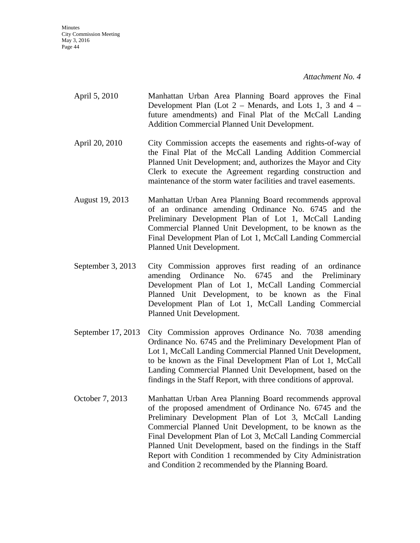**Minutes** City Commission Meeting May 3, 2016 Page 44

*Attachment No. 4* 

- April 5, 2010 Manhattan Urban Area Planning Board approves the Final Development Plan (Lot 2 – Menards, and Lots 1, 3 and 4 – future amendments) and Final Plat of the McCall Landing Addition Commercial Planned Unit Development.
- April 20, 2010 City Commission accepts the easements and rights-of-way of the Final Plat of the McCall Landing Addition Commercial Planned Unit Development; and, authorizes the Mayor and City Clerk to execute the Agreement regarding construction and maintenance of the storm water facilities and travel easements.
- August 19, 2013 Manhattan Urban Area Planning Board recommends approval of an ordinance amending Ordinance No. 6745 and the Preliminary Development Plan of Lot 1, McCall Landing Commercial Planned Unit Development, to be known as the Final Development Plan of Lot 1, McCall Landing Commercial Planned Unit Development.
- September 3, 2013 City Commission approves first reading of an ordinance amending Ordinance No. 6745 and the Preliminary Development Plan of Lot 1, McCall Landing Commercial Planned Unit Development, to be known as the Final Development Plan of Lot 1, McCall Landing Commercial Planned Unit Development.
- September 17, 2013 City Commission approves Ordinance No. 7038 amending Ordinance No. 6745 and the Preliminary Development Plan of Lot 1, McCall Landing Commercial Planned Unit Development, to be known as the Final Development Plan of Lot 1, McCall Landing Commercial Planned Unit Development, based on the findings in the Staff Report, with three conditions of approval.
- October 7, 2013 Manhattan Urban Area Planning Board recommends approval of the proposed amendment of Ordinance No. 6745 and the Preliminary Development Plan of Lot 3, McCall Landing Commercial Planned Unit Development, to be known as the Final Development Plan of Lot 3, McCall Landing Commercial Planned Unit Development, based on the findings in the Staff Report with Condition 1 recommended by City Administration and Condition 2 recommended by the Planning Board.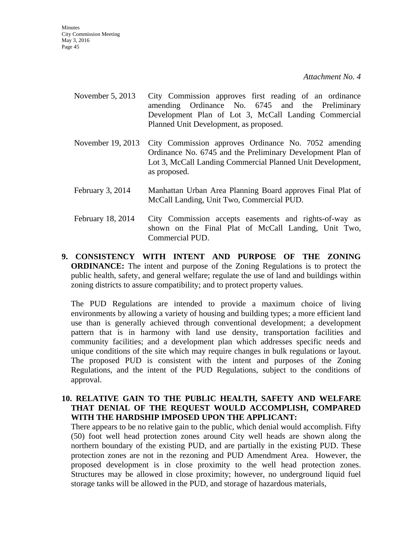- November 5, 2013 City Commission approves first reading of an ordinance amending Ordinance No. 6745 and the Preliminary Development Plan of Lot 3, McCall Landing Commercial Planned Unit Development, as proposed.
- November 19, 2013 City Commission approves Ordinance No. 7052 amending Ordinance No. 6745 and the Preliminary Development Plan of Lot 3, McCall Landing Commercial Planned Unit Development, as proposed.
- February 3, 2014 Manhattan Urban Area Planning Board approves Final Plat of McCall Landing, Unit Two, Commercial PUD.
- February 18, 2014 City Commission accepts easements and rights-of-way as shown on the Final Plat of McCall Landing, Unit Two, Commercial PUD.
- **9. CONSISTENCY WITH INTENT AND PURPOSE OF THE ZONING ORDINANCE:** The intent and purpose of the Zoning Regulations is to protect the public health, safety, and general welfare; regulate the use of land and buildings within zoning districts to assure compatibility; and to protect property values.

The PUD Regulations are intended to provide a maximum choice of living environments by allowing a variety of housing and building types; a more efficient land use than is generally achieved through conventional development; a development pattern that is in harmony with land use density, transportation facilities and community facilities; and a development plan which addresses specific needs and unique conditions of the site which may require changes in bulk regulations or layout. The proposed PUD is consistent with the intent and purposes of the Zoning Regulations, and the intent of the PUD Regulations, subject to the conditions of approval.

#### **10. RELATIVE GAIN TO THE PUBLIC HEALTH, SAFETY AND WELFARE THAT DENIAL OF THE REQUEST WOULD ACCOMPLISH, COMPARED WITH THE HARDSHIP IMPOSED UPON THE APPLICANT:**

There appears to be no relative gain to the public, which denial would accomplish. Fifty (50) foot well head protection zones around City well heads are shown along the northern boundary of the existing PUD, and are partially in the existing PUD. These protection zones are not in the rezoning and PUD Amendment Area. However, the proposed development is in close proximity to the well head protection zones. Structures may be allowed in close proximity; however, no underground liquid fuel storage tanks will be allowed in the PUD, and storage of hazardous materials,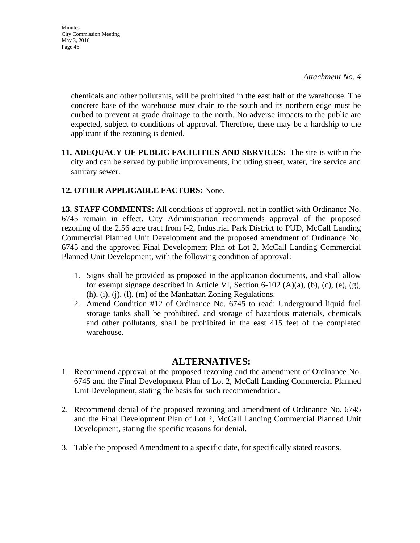chemicals and other pollutants, will be prohibited in the east half of the warehouse. The concrete base of the warehouse must drain to the south and its northern edge must be curbed to prevent at grade drainage to the north. No adverse impacts to the public are expected, subject to conditions of approval. Therefore, there may be a hardship to the applicant if the rezoning is denied.

**11. ADEQUACY OF PUBLIC FACILITIES AND SERVICES: T**he site is within the city and can be served by public improvements, including street, water, fire service and sanitary sewer.

## **12. OTHER APPLICABLE FACTORS:** None.

**13. STAFF COMMENTS:** All conditions of approval, not in conflict with Ordinance No. 6745 remain in effect. City Administration recommends approval of the proposed rezoning of the 2.56 acre tract from I-2, Industrial Park District to PUD, McCall Landing Commercial Planned Unit Development and the proposed amendment of Ordinance No. 6745 and the approved Final Development Plan of Lot 2, McCall Landing Commercial Planned Unit Development, with the following condition of approval:

- 1. Signs shall be provided as proposed in the application documents, and shall allow for exempt signage described in Article VI, Section 6-102 (A)(a), (b), (c), (e), (g), (h), (i), (j), (l), (m) of the Manhattan Zoning Regulations.
- 2. Amend Condition #12 of Ordinance No. 6745 to read: Underground liquid fuel storage tanks shall be prohibited, and storage of hazardous materials, chemicals and other pollutants, shall be prohibited in the east 415 feet of the completed warehouse.

## **ALTERNATIVES:**

- 1. Recommend approval of the proposed rezoning and the amendment of Ordinance No. 6745 and the Final Development Plan of Lot 2, McCall Landing Commercial Planned Unit Development, stating the basis for such recommendation.
- 2. Recommend denial of the proposed rezoning and amendment of Ordinance No. 6745 and the Final Development Plan of Lot 2, McCall Landing Commercial Planned Unit Development, stating the specific reasons for denial.
- 3. Table the proposed Amendment to a specific date, for specifically stated reasons.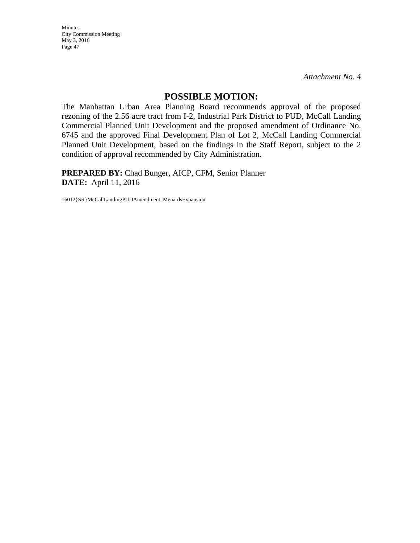Minutes City Commission Meeting May 3, 2016 Page 47

*Attachment No. 4* 

### **POSSIBLE MOTION:**

The Manhattan Urban Area Planning Board recommends approval of the proposed rezoning of the 2.56 acre tract from I-2, Industrial Park District to PUD, McCall Landing Commercial Planned Unit Development and the proposed amendment of Ordinance No. 6745 and the approved Final Development Plan of Lot 2, McCall Landing Commercial Planned Unit Development, based on the findings in the Staff Report, subject to the 2 condition of approval recommended by City Administration.

**PREPARED BY:** Chad Bunger, AICP, CFM, Senior Planner **DATE:** April 11, 2016

16012}SR}McCallLandingPUDAmendment\_MenardsExpansion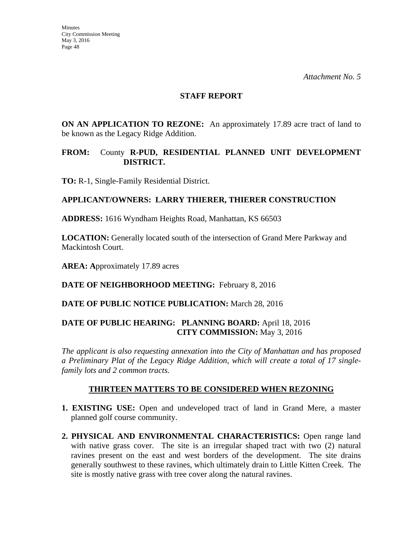#### **STAFF REPORT**

**ON AN APPLICATION TO REZONE:** An approximately 17.89 acre tract of land to be known as the Legacy Ridge Addition.

### **FROM:** County **R-PUD, RESIDENTIAL PLANNED UNIT DEVELOPMENT DISTRICT.**

**TO:** R-1, Single-Family Residential District.

## **APPLICANT/OWNERS: LARRY THIERER, THIERER CONSTRUCTION**

**ADDRESS:** 1616 Wyndham Heights Road, Manhattan, KS 66503

**LOCATION:** Generally located south of the intersection of Grand Mere Parkway and Mackintosh Court.

**AREA: A**pproximately 17.89 acres

**DATE OF NEIGHBORHOOD MEETING:** February 8, 2016

**DATE OF PUBLIC NOTICE PUBLICATION:** March 28, 2016

## **DATE OF PUBLIC HEARING: PLANNING BOARD:** April 18, 2016 **CITY COMMISSION:** May 3, 2016

*The applicant is also requesting annexation into the City of Manhattan and has proposed a Preliminary Plat of the Legacy Ridge Addition*, *which will create a total of 17 singlefamily lots and 2 common tracts.* 

## **THIRTEEN MATTERS TO BE CONSIDERED WHEN REZONING**

- **1. EXISTING USE:** Open and undeveloped tract of land in Grand Mere, a master planned golf course community.
- **2. PHYSICAL AND ENVIRONMENTAL CHARACTERISTICS:** Open range land with native grass cover. The site is an irregular shaped tract with two (2) natural ravines present on the east and west borders of the development. The site drains generally southwest to these ravines, which ultimately drain to Little Kitten Creek. The site is mostly native grass with tree cover along the natural ravines.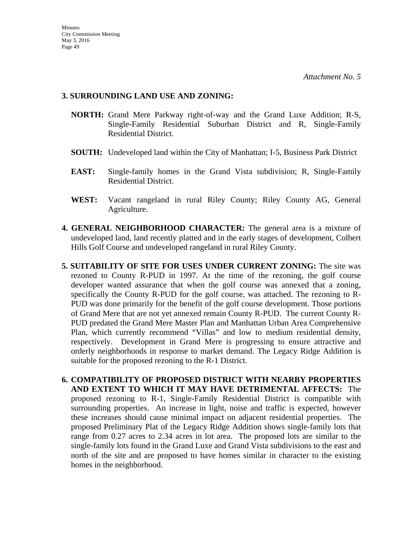### **3. SURROUNDING LAND USE AND ZONING:**

- **NORTH:** Grand Mere Parkway right-of-way and the Grand Luxe Addition; R-S, Single-Family Residential Suburban District and R, Single-Family Residential District.
- **SOUTH:** Undeveloped land within the City of Manhattan; I-5, Business Park District
- **EAST:** Single-family homes in the Grand Vista subdivision; R, Single-Family Residential District.
- **WEST:** Vacant rangeland in rural Riley County; Riley County AG, General Agriculture.
- **4. GENERAL NEIGHBORHOOD CHARACTER:** The general area is a mixture of undeveloped land, land recently platted and in the early stages of development, Colbert Hills Golf Course and undeveloped rangeland in rural Riley County.
- **5. SUITABILITY OF SITE FOR USES UNDER CURRENT ZONING:** The site was rezoned to County R-PUD in 1997. At the time of the rezoning, the golf course developer wanted assurance that when the golf course was annexed that a zoning, specifically the County R-PUD for the golf course, was attached. The rezoning to R-PUD was done primarily for the benefit of the golf course development. Those portions of Grand Mere that are not yet annexed remain County R-PUD. The current County R-PUD predated the Grand Mere Master Plan and Manhattan Urban Area Comprehensive Plan, which currently recommend "Villas" and low to medium residential density, respectively. Development in Grand Mere is progressing to ensure attractive and orderly neighborhoods in response to market demand. The Legacy Ridge Addition is suitable for the proposed rezoning to the R-1 District.
- **6. COMPATIBILITY OF PROPOSED DISTRICT WITH NEARBY PROPERTIES AND EXTENT TO WHICH IT MAY HAVE DETRIMENTAL AFFECTS:** The proposed rezoning to R-1, Single-Family Residential District is compatible with surrounding properties. An increase in light, noise and traffic is expected, however these increases should cause minimal impact on adjacent residential properties. The proposed Preliminary Plat of the Legacy Ridge Addition shows single-family lots that range from 0.27 acres to 2.34 acres in lot area. The proposed lots are similar to the single-family lots found in the Grand Luxe and Grand Vista subdivisions to the east and north of the site and are proposed to have homes similar in character to the existing homes in the neighborhood.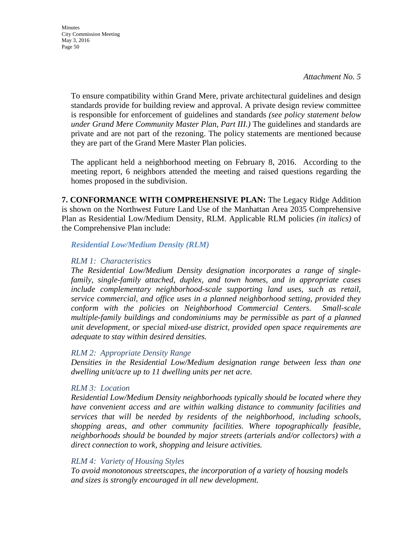To ensure compatibility within Grand Mere, private architectural guidelines and design standards provide for building review and approval. A private design review committee is responsible for enforcement of guidelines and standards *(see policy statement below under Grand Mere Community Master Plan, Part III.)* The guidelines and standards are private and are not part of the rezoning. The policy statements are mentioned because they are part of the Grand Mere Master Plan policies.

The applicant held a neighborhood meeting on February 8, 2016. According to the meeting report, 6 neighbors attended the meeting and raised questions regarding the homes proposed in the subdivision.

**7. CONFORMANCE WITH COMPREHENSIVE PLAN:** The Legacy Ridge Addition is shown on the Northwest Future Land Use of the Manhattan Area 2035 Comprehensive Plan as Residential Low/Medium Density, RLM. Applicable RLM policies *(in italics)* of the Comprehensive Plan include:

*Residential Low/Medium Density (RLM)* 

### *RLM 1: Characteristics*

*The Residential Low/Medium Density designation incorporates a range of singlefamily, single-family attached, duplex, and town homes, and in appropriate cases include complementary neighborhood-scale supporting land uses, such as retail, service commercial, and office uses in a planned neighborhood setting, provided they conform with the policies on Neighborhood Commercial Centers. Small-scale multiple-family buildings and condominiums may be permissible as part of a planned unit development, or special mixed-use district, provided open space requirements are adequate to stay within desired densities.* 

## *RLM 2: Appropriate Density Range*

*Densities in the Residential Low/Medium designation range between less than one dwelling unit/acre up to 11 dwelling units per net acre.* 

## *RLM 3: Location*

*Residential Low/Medium Density neighborhoods typically should be located where they have convenient access and are within walking distance to community facilities and services that will be needed by residents of the neighborhood, including schools, shopping areas, and other community facilities. Where topographically feasible, neighborhoods should be bounded by major streets (arterials and/or collectors) with a direct connection to work, shopping and leisure activities.* 

## *RLM 4: Variety of Housing Styles*

*To avoid monotonous streetscapes, the incorporation of a variety of housing models and sizes is strongly encouraged in all new development.*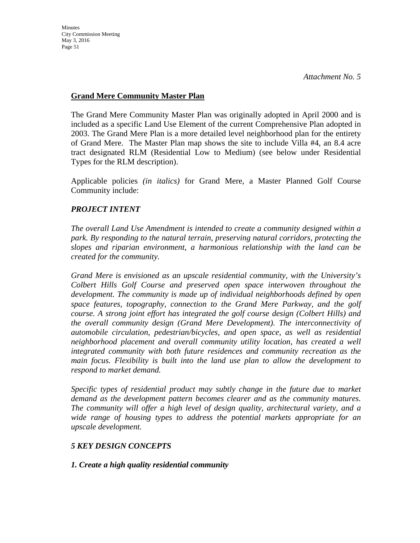## **Grand Mere Community Master Plan**

The Grand Mere Community Master Plan was originally adopted in April 2000 and is included as a specific Land Use Element of the current Comprehensive Plan adopted in 2003. The Grand Mere Plan is a more detailed level neighborhood plan for the entirety of Grand Mere. The Master Plan map shows the site to include Villa #4, an 8.4 acre tract designated RLM (Residential Low to Medium) (see below under Residential Types for the RLM description).

Applicable policies *(in italics)* for Grand Mere, a Master Planned Golf Course Community include:

## *PROJECT INTENT*

*The overall Land Use Amendment is intended to create a community designed within a park. By responding to the natural terrain, preserving natural corridors, protecting the slopes and riparian environment, a harmonious relationship with the land can be created for the community.* 

*Grand Mere is envisioned as an upscale residential community, with the University's Colbert Hills Golf Course and preserved open space interwoven throughout the development. The community is made up of individual neighborhoods defined by open space features, topography, connection to the Grand Mere Parkway, and the golf course. A strong joint effort has integrated the golf course design (Colbert Hills) and the overall community design (Grand Mere Development). The interconnectivity of automobile circulation, pedestrian/bicycles, and open space, as well as residential neighborhood placement and overall community utility location, has created a well integrated community with both future residences and community recreation as the main focus. Flexibility is built into the land use plan to allow the development to respond to market demand.* 

*Specific types of residential product may subtly change in the future due to market demand as the development pattern becomes clearer and as the community matures. The community will offer a high level of design quality, architectural variety, and a wide range of housing types to address the potential markets appropriate for an upscale development.* 

## *5 KEY DESIGN CONCEPTS*

## *1. Create a high quality residential community*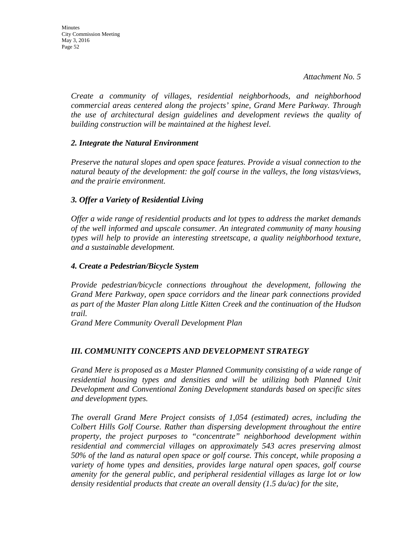*Create a community of villages, residential neighborhoods, and neighborhood commercial areas centered along the projects' spine, Grand Mere Parkway. Through the use of architectural design guidelines and development reviews the quality of building construction will be maintained at the highest level.* 

### *2. Integrate the Natural Environment*

*Preserve the natural slopes and open space features. Provide a visual connection to the natural beauty of the development: the golf course in the valleys, the long vistas/views, and the prairie environment.* 

## *3. Offer a Variety of Residential Living*

*Offer a wide range of residential products and lot types to address the market demands of the well informed and upscale consumer. An integrated community of many housing types will help to provide an interesting streetscape, a quality neighborhood texture, and a sustainable development.* 

### *4. Create a Pedestrian/Bicycle System*

*Provide pedestrian/bicycle connections throughout the development, following the Grand Mere Parkway, open space corridors and the linear park connections provided as part of the Master Plan along Little Kitten Creek and the continuation of the Hudson trail.* 

*Grand Mere Community Overall Development Plan* 

## *III. COMMUNITY CONCEPTS AND DEVELOPMENT STRATEGY*

*Grand Mere is proposed as a Master Planned Community consisting of a wide range of residential housing types and densities and will be utilizing both Planned Unit Development and Conventional Zoning Development standards based on specific sites and development types.* 

*The overall Grand Mere Project consists of 1,054 (estimated) acres, including the Colbert Hills Golf Course. Rather than dispersing development throughout the entire property, the project purposes to "concentrate" neighborhood development within residential and commercial villages on approximately 543 acres preserving almost 50% of the land as natural open space or golf course. This concept, while proposing a variety of home types and densities, provides large natural open spaces, golf course amenity for the general public, and peripheral residential villages as large lot or low density residential products that create an overall density (1.5 du/ac) for the site,*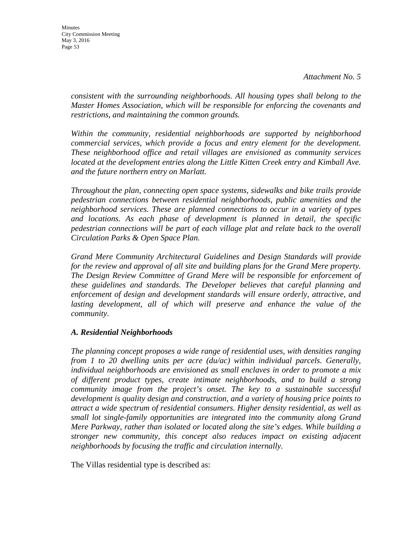*consistent with the surrounding neighborhoods. All housing types shall belong to the Master Homes Association, which will be responsible for enforcing the covenants and restrictions, and maintaining the common grounds.* 

*Within the community, residential neighborhoods are supported by neighborhood commercial services, which provide a focus and entry element for the development. These neighborhood office and retail villages are envisioned as community services*  located at the development entries along the Little Kitten Creek entry and Kimball Ave. *and the future northern entry on Marlatt.* 

*Throughout the plan, connecting open space systems, sidewalks and bike trails provide pedestrian connections between residential neighborhoods, public amenities and the neighborhood services. These are planned connections to occur in a variety of types and locations. As each phase of development is planned in detail, the specific pedestrian connections will be part of each village plat and relate back to the overall Circulation Parks & Open Space Plan.* 

*Grand Mere Community Architectural Guidelines and Design Standards will provide for the review and approval of all site and building plans for the Grand Mere property. The Design Review Committee of Grand Mere will be responsible for enforcement of these guidelines and standards. The Developer believes that careful planning and enforcement of design and development standards will ensure orderly, attractive, and*  lasting development, all of which will preserve and enhance the value of the *community.* 

## *A. Residential Neighborhoods*

*The planning concept proposes a wide range of residential uses, with densities ranging from 1 to 20 dwelling units per acre (du/ac) within individual parcels. Generally, individual neighborhoods are envisioned as small enclaves in order to promote a mix of different product types, create intimate neighborhoods, and to build a strong community image from the project's onset. The key to a sustainable successful development is quality design and construction, and a variety of housing price points to attract a wide spectrum of residential consumers. Higher density residential, as well as small lot single-family opportunities are integrated into the community along Grand Mere Parkway, rather than isolated or located along the site's edges. While building a stronger new community, this concept also reduces impact on existing adjacent neighborhoods by focusing the traffic and circulation internally.* 

The Villas residential type is described as: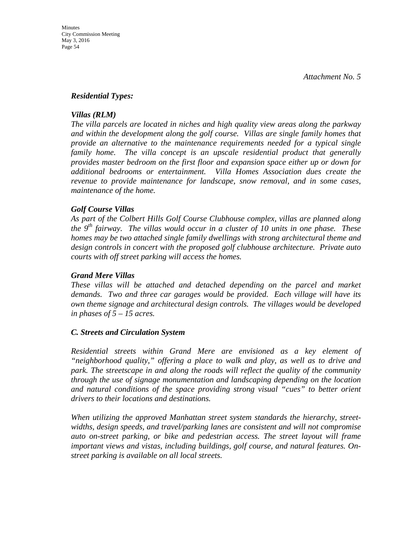#### *Residential Types:*

### *Villas (RLM)*

*The villa parcels are located in niches and high quality view areas along the parkway and within the development along the golf course. Villas are single family homes that provide an alternative to the maintenance requirements needed for a typical single*  family home. The villa concept is an upscale residential product that generally *provides master bedroom on the first floor and expansion space either up or down for additional bedrooms or entertainment. Villa Homes Association dues create the revenue to provide maintenance for landscape, snow removal, and in some cases, maintenance of the home.* 

### *Golf Course Villas*

*As part of the Colbert Hills Golf Course Clubhouse complex, villas are planned along the 9th fairway. The villas would occur in a cluster of 10 units in one phase. These homes may be two attached single family dwellings with strong architectural theme and design controls in concert with the proposed golf clubhouse architecture. Private auto courts with off street parking will access the homes.* 

### *Grand Mere Villas*

*These villas will be attached and detached depending on the parcel and market demands. Two and three car garages would be provided. Each village will have its own theme signage and architectural design controls. The villages would be developed in phases of 5 – 15 acres.* 

#### *C. Streets and Circulation System*

*Residential streets within Grand Mere are envisioned as a key element of "neighborhood quality," offering a place to walk and play, as well as to drive and park. The streetscape in and along the roads will reflect the quality of the community through the use of signage monumentation and landscaping depending on the location and natural conditions of the space providing strong visual "cues" to better orient drivers to their locations and destinations.* 

*When utilizing the approved Manhattan street system standards the hierarchy, streetwidths, design speeds, and travel/parking lanes are consistent and will not compromise auto on-street parking, or bike and pedestrian access. The street layout will frame important views and vistas, including buildings, golf course, and natural features. Onstreet parking is available on all local streets.*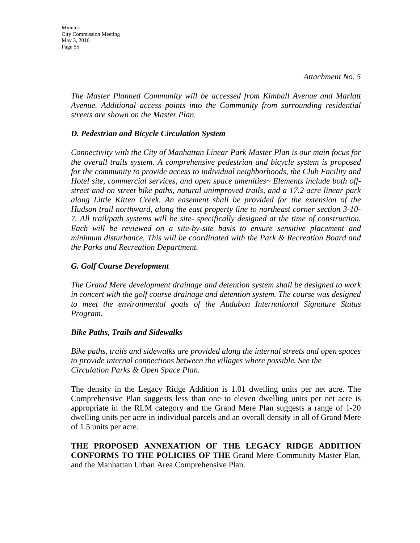*The Master Planned Community will be accessed from Kimball Avenue and Marlatt Avenue. Additional access points into the Community from surrounding residential streets are shown on the Master Plan.* 

### *D. Pedestrian and Bicycle Circulation System*

*Connectivity with the City of Manhattan Linear Park Master Plan is our main focus for the overall trails system. A comprehensive pedestrian and bicycle system is proposed for the community to provide access to individual neighborhoods, the Club Facility and Hotel site, commercial services, and open space amenities~ Elements include both offstreet and on street bike paths, natural unimproved trails, and a 17.2 acre linear park along Little Kitten Creek. An easement shall be provided for the extension of the Hudson trail northward, along the east property line to northeast corner section 3-10- 7. All trail/path systems will be site- specifically designed at the time of construction. Each will be reviewed on a site-by-site basis to ensure sensitive placement and minimum disturbance. This will be coordinated with the Park & Recreation Board and the Parks and Recreation Department.* 

#### *G. Golf Course Development*

*The Grand Mere development drainage and detention system shall be designed to work in concert with the golf course drainage and detention system. The course was designed to meet the environmental goals of the Audubon International Signature Status Program.* 

#### *Bike Paths, Trails and Sidewalks*

*Bike paths, trails and sidewalks are provided along the internal streets and open spaces to provide internal connections between the villages where possible. See the Circulation Parks & Open Space Plan.* 

The density in the Legacy Ridge Addition is 1.01 dwelling units per net acre. The Comprehensive Plan suggests less than one to eleven dwelling units per net acre is appropriate in the RLM category and the Grand Mere Plan suggests a range of 1-20 dwelling units per acre in individual parcels and an overall density in all of Grand Mere of 1.5 units per acre.

**THE PROPOSED ANNEXATION OF THE LEGACY RIDGE ADDITION CONFORMS TO THE POLICIES OF THE** Grand Mere Community Master Plan, and the Manhattan Urban Area Comprehensive Plan.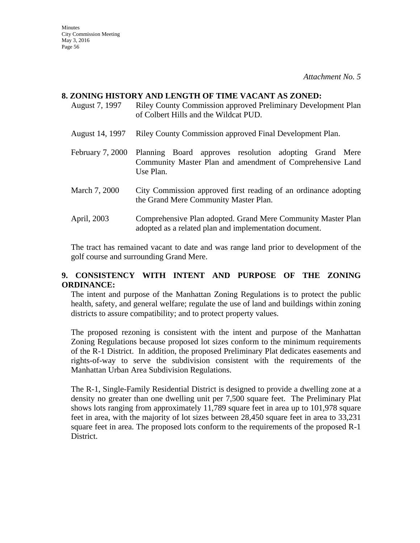#### **8. ZONING HISTORY AND LENGTH OF TIME VACANT AS ZONED:**

- August 7, 1997 Riley County Commission approved Preliminary Development Plan of Colbert Hills and the Wildcat PUD.
- August 14, 1997 Riley County Commission approved Final Development Plan.
- February 7, 2000 Planning Board approves resolution adopting Grand Mere Community Master Plan and amendment of Comprehensive Land Use Plan.
- March 7, 2000 City Commission approved first reading of an ordinance adopting the Grand Mere Community Master Plan.
- April, 2003 Comprehensive Plan adopted. Grand Mere Community Master Plan adopted as a related plan and implementation document.

The tract has remained vacant to date and was range land prior to development of the golf course and surrounding Grand Mere.

## **9. CONSISTENCY WITH INTENT AND PURPOSE OF THE ZONING ORDINANCE:**

The intent and purpose of the Manhattan Zoning Regulations is to protect the public health, safety, and general welfare; regulate the use of land and buildings within zoning districts to assure compatibility; and to protect property values.

The proposed rezoning is consistent with the intent and purpose of the Manhattan Zoning Regulations because proposed lot sizes conform to the minimum requirements of the R-1 District. In addition, the proposed Preliminary Plat dedicates easements and rights-of-way to serve the subdivision consistent with the requirements of the Manhattan Urban Area Subdivision Regulations.

The R-1, Single-Family Residential District is designed to provide a dwelling zone at a density no greater than one dwelling unit per 7,500 square feet. The Preliminary Plat shows lots ranging from approximately 11,789 square feet in area up to 101,978 square feet in area, with the majority of lot sizes between 28,450 square feet in area to 33,231 square feet in area. The proposed lots conform to the requirements of the proposed R-1 District.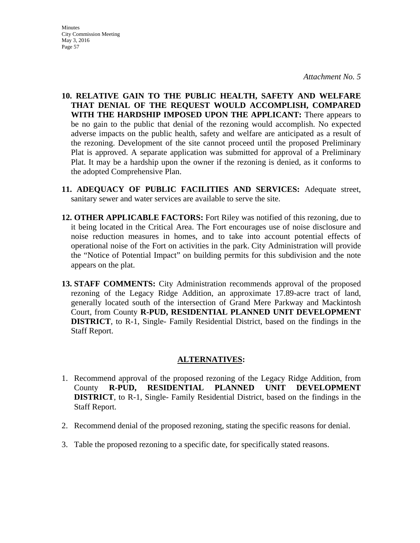- **10. RELATIVE GAIN TO THE PUBLIC HEALTH, SAFETY AND WELFARE THAT DENIAL OF THE REQUEST WOULD ACCOMPLISH, COMPARED WITH THE HARDSHIP IMPOSED UPON THE APPLICANT:** There appears to be no gain to the public that denial of the rezoning would accomplish. No expected adverse impacts on the public health, safety and welfare are anticipated as a result of the rezoning. Development of the site cannot proceed until the proposed Preliminary Plat is approved. A separate application was submitted for approval of a Preliminary Plat. It may be a hardship upon the owner if the rezoning is denied, as it conforms to the adopted Comprehensive Plan.
- **11. ADEQUACY OF PUBLIC FACILITIES AND SERVICES:** Adequate street, sanitary sewer and water services are available to serve the site.
- **12. OTHER APPLICABLE FACTORS:** Fort Riley was notified of this rezoning, due to it being located in the Critical Area. The Fort encourages use of noise disclosure and noise reduction measures in homes, and to take into account potential effects of operational noise of the Fort on activities in the park. City Administration will provide the "Notice of Potential Impact" on building permits for this subdivision and the note appears on the plat.
- **13. STAFF COMMENTS:** City Administration recommends approval of the proposed rezoning of the Legacy Ridge Addition, an approximate 17.89-acre tract of land, generally located south of the intersection of Grand Mere Parkway and Mackintosh Court, from County **R-PUD, RESIDENTIAL PLANNED UNIT DEVELOPMENT DISTRICT**, to R-1, Single- Family Residential District, based on the findings in the Staff Report.

## **ALTERNATIVES:**

- 1. Recommend approval of the proposed rezoning of the Legacy Ridge Addition, from County **R-PUD, RESIDENTIAL PLANNED UNIT DEVELOPMENT DISTRICT**, to R-1, Single- Family Residential District, based on the findings in the Staff Report.
- 2. Recommend denial of the proposed rezoning, stating the specific reasons for denial.
- 3. Table the proposed rezoning to a specific date, for specifically stated reasons.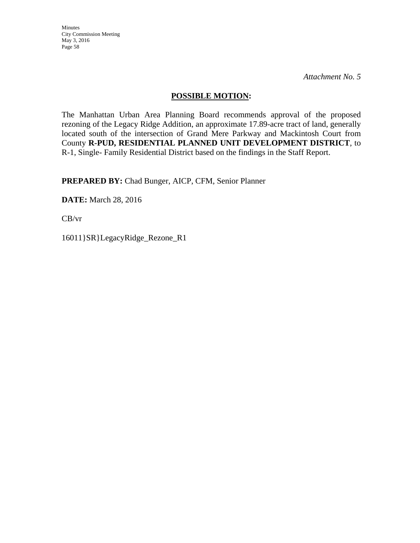Minutes City Commission Meeting May 3, 2016 Page 58

*Attachment No. 5* 

### **POSSIBLE MOTION:**

The Manhattan Urban Area Planning Board recommends approval of the proposed rezoning of the Legacy Ridge Addition, an approximate 17.89-acre tract of land, generally located south of the intersection of Grand Mere Parkway and Mackintosh Court from County **R-PUD, RESIDENTIAL PLANNED UNIT DEVELOPMENT DISTRICT**, to R-1, Single- Family Residential District based on the findings in the Staff Report.

**PREPARED BY:** Chad Bunger, AICP, CFM, Senior Planner

**DATE:** March 28, 2016

CB/vr

16011}SR}LegacyRidge\_Rezone\_R1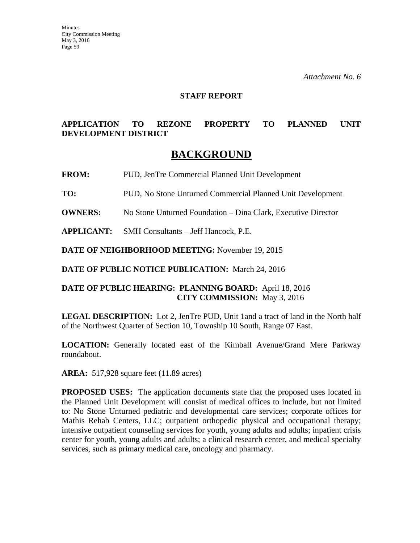#### **STAFF REPORT**

## **APPLICATION TO REZONE PROPERTY TO PLANNED UNIT DEVELOPMENT DISTRICT**

## **BACKGROUND**

**FROM:** PUD, JenTre Commercial Planned Unit Development

**TO:** PUD, No Stone Unturned Commercial Planned Unit Development

**OWNERS:** No Stone Unturned Foundation – Dina Clark, Executive Director

**APPLICANT:** SMH Consultants – Jeff Hancock, P.E.

**DATE OF NEIGHBORHOOD MEETING:** November 19, 2015

**DATE OF PUBLIC NOTICE PUBLICATION:** March 24, 2016

### **DATE OF PUBLIC HEARING: PLANNING BOARD:** April 18, 2016 **CITY COMMISSION:** May 3, 2016

**LEGAL DESCRIPTION:** Lot 2, JenTre PUD, Unit 1and a tract of land in the North half of the Northwest Quarter of Section 10, Township 10 South, Range 07 East.

**LOCATION:** Generally located east of the Kimball Avenue/Grand Mere Parkway roundabout.

**AREA:** 517,928 square feet (11.89 acres)

**PROPOSED USES:** The application documents state that the proposed uses located in the Planned Unit Development will consist of medical offices to include, but not limited to: No Stone Unturned pediatric and developmental care services; corporate offices for Mathis Rehab Centers, LLC; outpatient orthopedic physical and occupational therapy; intensive outpatient counseling services for youth, young adults and adults; inpatient crisis center for youth, young adults and adults; a clinical research center, and medical specialty services, such as primary medical care, oncology and pharmacy.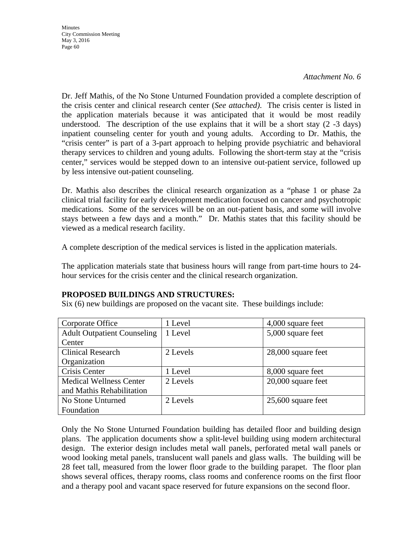Dr. Jeff Mathis, of the No Stone Unturned Foundation provided a complete description of the crisis center and clinical research center (*See attached)*. The crisis center is listed in the application materials because it was anticipated that it would be most readily understood. The description of the use explains that it will be a short stay  $(2 -3)$  days) inpatient counseling center for youth and young adults. According to Dr. Mathis, the "crisis center" is part of a 3-part approach to helping provide psychiatric and behavioral therapy services to children and young adults. Following the short-term stay at the "crisis center," services would be stepped down to an intensive out-patient service, followed up by less intensive out-patient counseling.

Dr. Mathis also describes the clinical research organization as a "phase 1 or phase 2a clinical trial facility for early development medication focused on cancer and psychotropic medications. Some of the services will be on an out-patient basis, and some will involve stays between a few days and a month." Dr. Mathis states that this facility should be viewed as a medical research facility.

A complete description of the medical services is listed in the application materials.

The application materials state that business hours will range from part-time hours to 24 hour services for the crisis center and the clinical research organization.

## **PROPOSED BUILDINGS AND STRUCTURES:**

Six (6) new buildings are proposed on the vacant site. These buildings include:

| Corporate Office                   | 1 Level  | 4,000 square feet    |
|------------------------------------|----------|----------------------|
| <b>Adult Outpatient Counseling</b> | 1 Level  | 5,000 square feet    |
| Center                             |          |                      |
| <b>Clinical Research</b>           | 2 Levels | 28,000 square feet   |
| Organization                       |          |                      |
| Crisis Center                      | 1 Level  | 8,000 square feet    |
| <b>Medical Wellness Center</b>     | 2 Levels | $20,000$ square feet |
| and Mathis Rehabilitation          |          |                      |
| No Stone Unturned                  | 2 Levels | $25,600$ square feet |
| Foundation                         |          |                      |

Only the No Stone Unturned Foundation building has detailed floor and building design plans. The application documents show a split-level building using modern architectural design. The exterior design includes metal wall panels, perforated metal wall panels or wood looking metal panels, translucent wall panels and glass walls. The building will be 28 feet tall, measured from the lower floor grade to the building parapet. The floor plan shows several offices, therapy rooms, class rooms and conference rooms on the first floor and a therapy pool and vacant space reserved for future expansions on the second floor.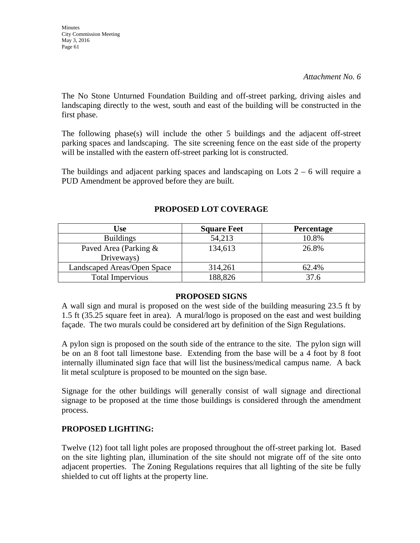**Minutes** City Commission Meeting May 3, 2016 Page 61

#### *Attachment No. 6*

The No Stone Unturned Foundation Building and off-street parking, driving aisles and landscaping directly to the west, south and east of the building will be constructed in the first phase.

The following phase(s) will include the other 5 buildings and the adjacent off-street parking spaces and landscaping. The site screening fence on the east side of the property will be installed with the eastern off-street parking lot is constructed.

The buildings and adjacent parking spaces and landscaping on Lots  $2 - 6$  will require a PUD Amendment be approved before they are built.

| <b>Use</b>                          | <b>Square Feet</b> | <b>Percentage</b> |
|-------------------------------------|--------------------|-------------------|
| <b>Buildings</b>                    | 54,213             | 10.8%             |
| Paved Area (Parking &<br>Driveways) | 134,613            | 26.8%             |
| Landscaped Areas/Open Space         | 314,261            | 62.4%             |
| <b>Total Impervious</b>             | 188,826            | 37.6              |

## **PROPOSED LOT COVERAGE**

#### **PROPOSED SIGNS**

A wall sign and mural is proposed on the west side of the building measuring 23.5 ft by 1.5 ft (35.25 square feet in area). A mural/logo is proposed on the east and west building façade. The two murals could be considered art by definition of the Sign Regulations.

A pylon sign is proposed on the south side of the entrance to the site. The pylon sign will be on an 8 foot tall limestone base. Extending from the base will be a 4 foot by 8 foot internally illuminated sign face that will list the business/medical campus name. A back lit metal sculpture is proposed to be mounted on the sign base.

Signage for the other buildings will generally consist of wall signage and directional signage to be proposed at the time those buildings is considered through the amendment process.

## **PROPOSED LIGHTING:**

Twelve (12) foot tall light poles are proposed throughout the off-street parking lot. Based on the site lighting plan, illumination of the site should not migrate off of the site onto adjacent properties. The Zoning Regulations requires that all lighting of the site be fully shielded to cut off lights at the property line.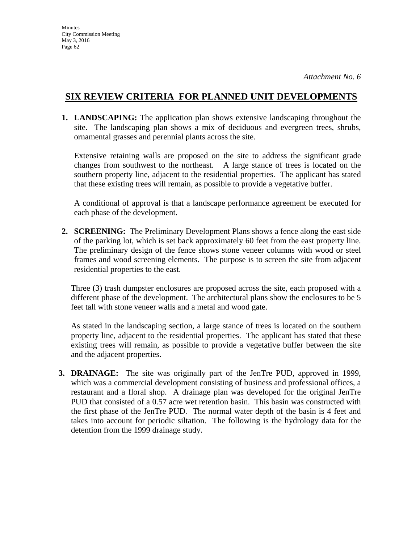## **SIX REVIEW CRITERIA FOR PLANNED UNIT DEVELOPMENTS**

**1. LANDSCAPING:** The application plan shows extensive landscaping throughout the site. The landscaping plan shows a mix of deciduous and evergreen trees, shrubs, ornamental grasses and perennial plants across the site.

Extensive retaining walls are proposed on the site to address the significant grade changes from southwest to the northeast. A large stance of trees is located on the southern property line, adjacent to the residential properties. The applicant has stated that these existing trees will remain, as possible to provide a vegetative buffer.

A conditional of approval is that a landscape performance agreement be executed for each phase of the development.

**2. SCREENING:** The Preliminary Development Plans shows a fence along the east side of the parking lot, which is set back approximately 60 feet from the east property line. The preliminary design of the fence shows stone veneer columns with wood or steel frames and wood screening elements. The purpose is to screen the site from adjacent residential properties to the east.

Three (3) trash dumpster enclosures are proposed across the site, each proposed with a different phase of the development. The architectural plans show the enclosures to be 5 feet tall with stone veneer walls and a metal and wood gate.

As stated in the landscaping section, a large stance of trees is located on the southern property line, adjacent to the residential properties. The applicant has stated that these existing trees will remain, as possible to provide a vegetative buffer between the site and the adjacent properties.

**3. DRAINAGE:** The site was originally part of the JenTre PUD, approved in 1999, which was a commercial development consisting of business and professional offices, a restaurant and a floral shop. A drainage plan was developed for the original JenTre PUD that consisted of a 0.57 acre wet retention basin. This basin was constructed with the first phase of the JenTre PUD. The normal water depth of the basin is 4 feet and takes into account for periodic siltation. The following is the hydrology data for the detention from the 1999 drainage study.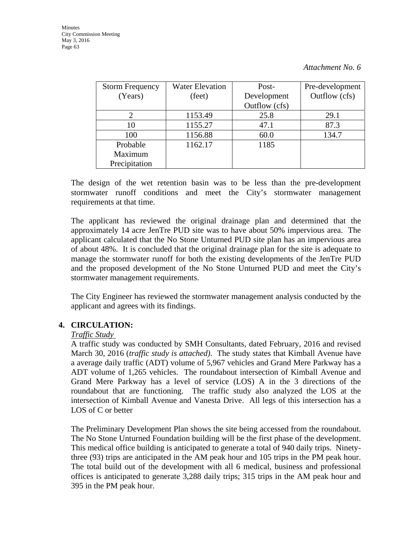| <b>Storm Frequency</b> | <b>Water Elevation</b> | Post-         | Pre-development |  |  |
|------------------------|------------------------|---------------|-----------------|--|--|
| (Years)                | (feet)                 | Development   | Outflow (cfs)   |  |  |
|                        |                        | Outflow (cfs) |                 |  |  |
|                        | 1153.49                | 25.8          | 29.1            |  |  |
| 10                     | 1155.27                | 47.1          | 87.3            |  |  |
| 100                    | 1156.88                | 60.0          | 134.7           |  |  |
| Probable               | 1162.17                | 1185          |                 |  |  |
| Maximum                |                        |               |                 |  |  |
| Precipitation          |                        |               |                 |  |  |

The design of the wet retention basin was to be less than the pre-development stormwater runoff conditions and meet the City's stormwater management requirements at that time.

The applicant has reviewed the original drainage plan and determined that the approximately 14 acre JenTre PUD site was to have about 50% impervious area. The applicant calculated that the No Stone Unturned PUD site plan has an impervious area of about 48%. It is concluded that the original drainage plan for the site is adequate to manage the stormwater runoff for both the existing developments of the JenTre PUD and the proposed development of the No Stone Unturned PUD and meet the City's stormwater management requirements.

The City Engineer has reviewed the stormwater management analysis conducted by the applicant and agrees with its findings.

## **4. CIRCULATION:**

#### *Traffic Study*

A traffic study was conducted by SMH Consultants, dated February, 2016 and revised March 30, 2016 (*traffic study is attached)*. The study states that Kimball Avenue have a average daily traffic (ADT) volume of 5,967 vehicles and Grand Mere Parkway has a ADT volume of 1,265 vehicles. The roundabout intersection of Kimball Avenue and Grand Mere Parkway has a level of service (LOS) A in the 3 directions of the roundabout that are functioning. The traffic study also analyzed the LOS at the intersection of Kimball Avenue and Vanesta Drive. All legs of this intersection has a LOS of C or better

The Preliminary Development Plan shows the site being accessed from the roundabout. The No Stone Unturned Foundation building will be the first phase of the development. This medical office building is anticipated to generate a total of 940 daily trips. Ninetythree (93) trips are anticipated in the AM peak hour and 105 trips in the PM peak hour. The total build out of the development with all 6 medical, business and professional offices is anticipated to generate 3,288 daily trips; 315 trips in the AM peak hour and 395 in the PM peak hour.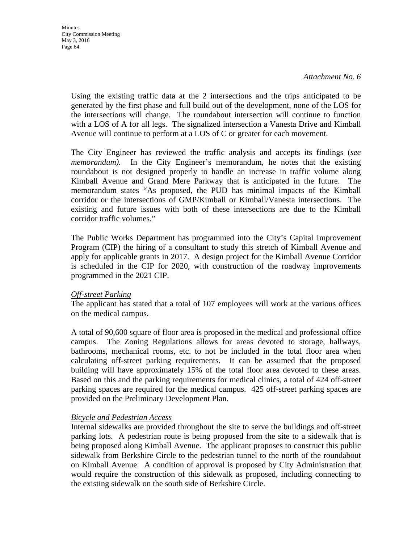**Minutes** City Commission Meeting May 3, 2016 Page 64

*Attachment No. 6* 

Using the existing traffic data at the 2 intersections and the trips anticipated to be generated by the first phase and full build out of the development, none of the LOS for the intersections will change. The roundabout intersection will continue to function with a LOS of A for all legs. The signalized intersection a Vanesta Drive and Kimball Avenue will continue to perform at a LOS of C or greater for each movement.

The City Engineer has reviewed the traffic analysis and accepts its findings (*see memorandum*). In the City Engineer's memorandum, he notes that the existing roundabout is not designed properly to handle an increase in traffic volume along Kimball Avenue and Grand Mere Parkway that is anticipated in the future. The memorandum states "As proposed, the PUD has minimal impacts of the Kimball corridor or the intersections of GMP/Kimball or Kimball/Vanesta intersections. The existing and future issues with both of these intersections are due to the Kimball corridor traffic volumes."

The Public Works Department has programmed into the City's Capital Improvement Program (CIP) the hiring of a consultant to study this stretch of Kimball Avenue and apply for applicable grants in 2017. A design project for the Kimball Avenue Corridor is scheduled in the CIP for 2020, with construction of the roadway improvements programmed in the 2021 CIP.

#### *Off-street Parking*

The applicant has stated that a total of 107 employees will work at the various offices on the medical campus.

A total of 90,600 square of floor area is proposed in the medical and professional office campus. The Zoning Regulations allows for areas devoted to storage, hallways, bathrooms, mechanical rooms, etc. to not be included in the total floor area when calculating off-street parking requirements. It can be assumed that the proposed building will have approximately 15% of the total floor area devoted to these areas. Based on this and the parking requirements for medical clinics, a total of 424 off-street parking spaces are required for the medical campus. 425 off-street parking spaces are provided on the Preliminary Development Plan.

#### *Bicycle and Pedestrian Access*

Internal sidewalks are provided throughout the site to serve the buildings and off-street parking lots. A pedestrian route is being proposed from the site to a sidewalk that is being proposed along Kimball Avenue. The applicant proposes to construct this public sidewalk from Berkshire Circle to the pedestrian tunnel to the north of the roundabout on Kimball Avenue. A condition of approval is proposed by City Administration that would require the construction of this sidewalk as proposed, including connecting to the existing sidewalk on the south side of Berkshire Circle.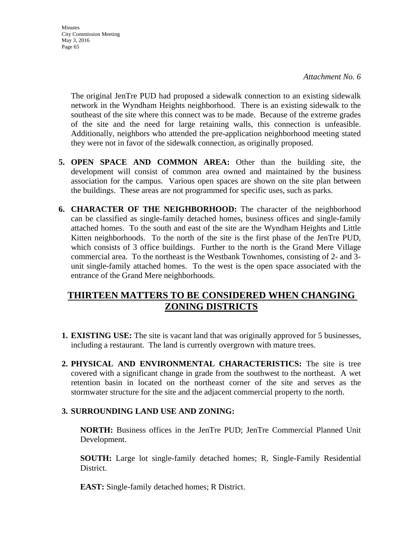**Minutes** City Commission Meeting May 3, 2016 Page 65

> The original JenTre PUD had proposed a sidewalk connection to an existing sidewalk network in the Wyndham Heights neighborhood. There is an existing sidewalk to the southeast of the site where this connect was to be made. Because of the extreme grades of the site and the need for large retaining walls, this connection is unfeasible. Additionally, neighbors who attended the pre-application neighborhood meeting stated they were not in favor of the sidewalk connection, as originally proposed.

- **5. OPEN SPACE AND COMMON AREA:** Other than the building site, the development will consist of common area owned and maintained by the business association for the campus. Various open spaces are shown on the site plan between the buildings. These areas are not programmed for specific uses, such as parks.
- **6. CHARACTER OF THE NEIGHBORHOOD:** The character of the neighborhood can be classified as single-family detached homes, business offices and single-family attached homes. To the south and east of the site are the Wyndham Heights and Little Kitten neighborhoods. To the north of the site is the first phase of the JenTre PUD, which consists of 3 office buildings. Further to the north is the Grand Mere Village commercial area. To the northeast is the Westbank Townhomes, consisting of 2- and 3 unit single-family attached homes. To the west is the open space associated with the entrance of the Grand Mere neighborhoods.

## **THIRTEEN MATTERS TO BE CONSIDERED WHEN CHANGING ZONING DISTRICTS**

- **1. EXISTING USE:** The site is vacant land that was originally approved for 5 businesses, including a restaurant. The land is currently overgrown with mature trees.
- **2. PHYSICAL AND ENVIRONMENTAL CHARACTERISTICS:** The site is tree covered with a significant change in grade from the southwest to the northeast. A wet retention basin in located on the northeast corner of the site and serves as the stormwater structure for the site and the adjacent commercial property to the north.

## **3. SURROUNDING LAND USE AND ZONING:**

**NORTH:** Business offices in the JenTre PUD; JenTre Commercial Planned Unit Development.

**SOUTH:** Large lot single-family detached homes; R, Single-Family Residential District.

**EAST:** Single-family detached homes; R District.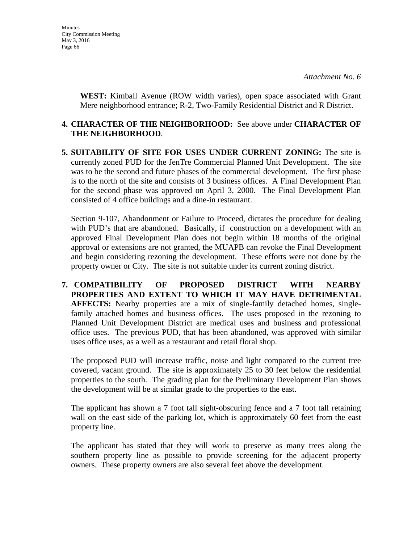**WEST:** Kimball Avenue (ROW width varies), open space associated with Grant Mere neighborhood entrance; R-2, Two-Family Residential District and R District.

### **4. CHARACTER OF THE NEIGHBORHOOD:** See above under **CHARACTER OF THE NEIGHBORHOOD**.

**5. SUITABILITY OF SITE FOR USES UNDER CURRENT ZONING:** The site is currently zoned PUD for the JenTre Commercial Planned Unit Development. The site was to be the second and future phases of the commercial development. The first phase is to the north of the site and consists of 3 business offices. A Final Development Plan for the second phase was approved on April 3, 2000. The Final Development Plan consisted of 4 office buildings and a dine-in restaurant.

Section 9-107, Abandonment or Failure to Proceed, dictates the procedure for dealing with PUD's that are abandoned. Basically, if construction on a development with an approved Final Development Plan does not begin within 18 months of the original approval or extensions are not granted, the MUAPB can revoke the Final Development and begin considering rezoning the development. These efforts were not done by the property owner or City. The site is not suitable under its current zoning district.

**7. COMPATIBILITY OF PROPOSED DISTRICT WITH NEARBY PROPERTIES AND EXTENT TO WHICH IT MAY HAVE DETRIMENTAL AFFECTS:** Nearby properties are a mix of single-family detached homes, singlefamily attached homes and business offices. The uses proposed in the rezoning to Planned Unit Development District are medical uses and business and professional office uses. The previous PUD, that has been abandoned, was approved with similar uses office uses, as a well as a restaurant and retail floral shop.

The proposed PUD will increase traffic, noise and light compared to the current tree covered, vacant ground. The site is approximately 25 to 30 feet below the residential properties to the south. The grading plan for the Preliminary Development Plan shows the development will be at similar grade to the properties to the east.

The applicant has shown a 7 foot tall sight-obscuring fence and a 7 foot tall retaining wall on the east side of the parking lot, which is approximately 60 feet from the east property line.

The applicant has stated that they will work to preserve as many trees along the southern property line as possible to provide screening for the adjacent property owners. These property owners are also several feet above the development.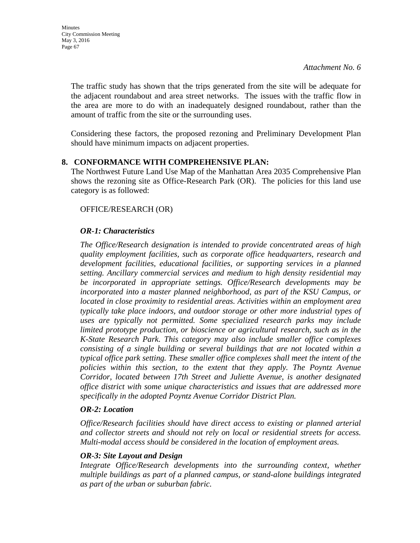The traffic study has shown that the trips generated from the site will be adequate for the adjacent roundabout and area street networks. The issues with the traffic flow in the area are more to do with an inadequately designed roundabout, rather than the amount of traffic from the site or the surrounding uses.

Considering these factors, the proposed rezoning and Preliminary Development Plan should have minimum impacts on adjacent properties.

## **8. CONFORMANCE WITH COMPREHENSIVE PLAN:**

The Northwest Future Land Use Map of the Manhattan Area 2035 Comprehensive Plan shows the rezoning site as Office-Research Park (OR). The policies for this land use category is as followed:

## OFFICE/RESEARCH (OR)

## *OR-1: Characteristics*

*The Office/Research designation is intended to provide concentrated areas of high quality employment facilities, such as corporate office headquarters, research and development facilities, educational facilities, or supporting services in a planned setting. Ancillary commercial services and medium to high density residential may be incorporated in appropriate settings. Office/Research developments may be incorporated into a master planned neighborhood, as part of the KSU Campus, or located in close proximity to residential areas. Activities within an employment area typically take place indoors, and outdoor storage or other more industrial types of uses are typically not permitted. Some specialized research parks may include limited prototype production, or bioscience or agricultural research, such as in the K-State Research Park. This category may also include smaller office complexes consisting of a single building or several buildings that are not located within a typical office park setting. These smaller office complexes shall meet the intent of the policies within this section, to the extent that they apply. The Poyntz Avenue Corridor, located between 17th Street and Juliette Avenue, is another designated office district with some unique characteristics and issues that are addressed more specifically in the adopted Poyntz Avenue Corridor District Plan.* 

## *OR-2: Location*

*Office/Research facilities should have direct access to existing or planned arterial and collector streets and should not rely on local or residential streets for access. Multi-modal access should be considered in the location of employment areas.* 

## *OR-3: Site Layout and Design*

*Integrate Office/Research developments into the surrounding context, whether multiple buildings as part of a planned campus, or stand-alone buildings integrated as part of the urban or suburban fabric.*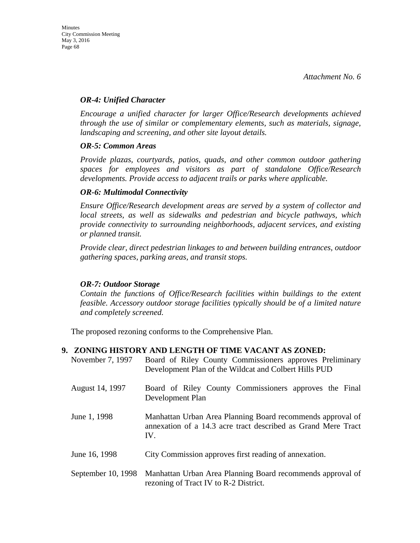#### *OR-4: Unified Character*

*Encourage a unified character for larger Office/Research developments achieved through the use of similar or complementary elements, such as materials, signage, landscaping and screening, and other site layout details.* 

#### *OR-5: Common Areas*

*Provide plazas, courtyards, patios, quads, and other common outdoor gathering spaces for employees and visitors as part of standalone Office/Research developments. Provide access to adjacent trails or parks where applicable.* 

#### *OR-6: Multimodal Connectivity*

*Ensure Office/Research development areas are served by a system of collector and local streets, as well as sidewalks and pedestrian and bicycle pathways, which provide connectivity to surrounding neighborhoods, adjacent services, and existing or planned transit.* 

*Provide clear, direct pedestrian linkages to and between building entrances, outdoor gathering spaces, parking areas, and transit stops.* 

## *OR-7: Outdoor Storage*

*Contain the functions of Office/Research facilities within buildings to the extent feasible. Accessory outdoor storage facilities typically should be of a limited nature and completely screened.* 

The proposed rezoning conforms to the Comprehensive Plan.

## **9. ZONING HISTORY AND LENGTH OF TIME VACANT AS ZONED:**

| November 7, 1997   | Board of Riley County Commissioners approves Preliminary<br>Development Plan of the Wildcat and Colbert Hills PUD                  |  |  |  |
|--------------------|------------------------------------------------------------------------------------------------------------------------------------|--|--|--|
| August 14, 1997    | Board of Riley County Commissioners approves the Final<br>Development Plan                                                         |  |  |  |
| June 1, 1998       | Manhattan Urban Area Planning Board recommends approval of<br>annexation of a 14.3 acre tract described as Grand Mere Tract<br>IV. |  |  |  |
| June 16, 1998      | City Commission approves first reading of annexation.                                                                              |  |  |  |
| September 10, 1998 | Manhattan Urban Area Planning Board recommends approval of<br>rezoning of Tract IV to R-2 District.                                |  |  |  |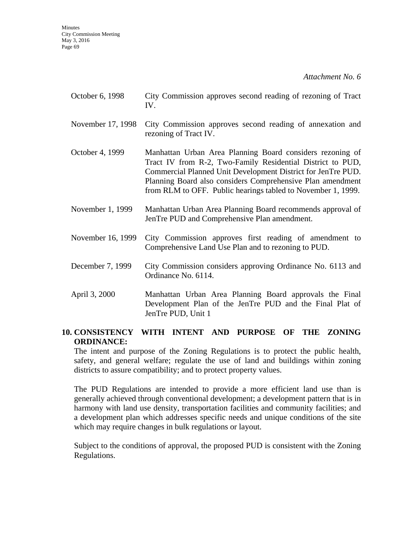| October 6, 1998 | City Commission approves second reading of rezoning of Tract |  |  |  |  |
|-----------------|--------------------------------------------------------------|--|--|--|--|
|                 |                                                              |  |  |  |  |

- November 17, 1998 City Commission approves second reading of annexation and rezoning of Tract IV.
- October 4, 1999 Manhattan Urban Area Planning Board considers rezoning of Tract IV from R-2, Two-Family Residential District to PUD, Commercial Planned Unit Development District for JenTre PUD. Planning Board also considers Comprehensive Plan amendment from RLM to OFF. Public hearings tabled to November 1, 1999.
- November 1, 1999 Manhattan Urban Area Planning Board recommends approval of JenTre PUD and Comprehensive Plan amendment.
- November 16, 1999 City Commission approves first reading of amendment to Comprehensive Land Use Plan and to rezoning to PUD.
- December 7, 1999 City Commission considers approving Ordinance No. 6113 and Ordinance No. 6114.
- April 3, 2000 Manhattan Urban Area Planning Board approvals the Final Development Plan of the JenTre PUD and the Final Plat of JenTre PUD, Unit 1

## **10. CONSISTENCY WITH INTENT AND PURPOSE OF THE ZONING ORDINANCE:**

The intent and purpose of the Zoning Regulations is to protect the public health, safety, and general welfare; regulate the use of land and buildings within zoning districts to assure compatibility; and to protect property values.

The PUD Regulations are intended to provide a more efficient land use than is generally achieved through conventional development; a development pattern that is in harmony with land use density, transportation facilities and community facilities; and a development plan which addresses specific needs and unique conditions of the site which may require changes in bulk regulations or layout.

Subject to the conditions of approval, the proposed PUD is consistent with the Zoning Regulations.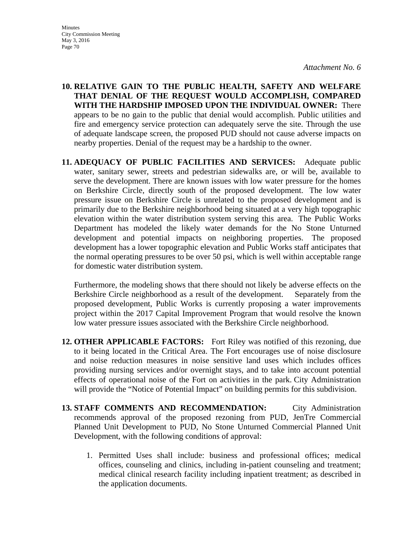**Minutes** City Commission Meeting May 3, 2016 Page 70

*Attachment No. 6* 

- **10. RELATIVE GAIN TO THE PUBLIC HEALTH, SAFETY AND WELFARE THAT DENIAL OF THE REQUEST WOULD ACCOMPLISH, COMPARED WITH THE HARDSHIP IMPOSED UPON THE INDIVIDUAL OWNER:** There appears to be no gain to the public that denial would accomplish. Public utilities and fire and emergency service protection can adequately serve the site. Through the use of adequate landscape screen, the proposed PUD should not cause adverse impacts on nearby properties. Denial of the request may be a hardship to the owner.
- **11. ADEQUACY OF PUBLIC FACILITIES AND SERVICES:** Adequate public water, sanitary sewer, streets and pedestrian sidewalks are, or will be, available to serve the development. There are known issues with low water pressure for the homes on Berkshire Circle, directly south of the proposed development. The low water pressure issue on Berkshire Circle is unrelated to the proposed development and is primarily due to the Berkshire neighborhood being situated at a very high topographic elevation within the water distribution system serving this area. The Public Works Department has modeled the likely water demands for the No Stone Unturned development and potential impacts on neighboring properties. The proposed development has a lower topographic elevation and Public Works staff anticipates that the normal operating pressures to be over 50 psi, which is well within acceptable range for domestic water distribution system.

Furthermore, the modeling shows that there should not likely be adverse effects on the Berkshire Circle neighborhood as a result of the development. Separately from the proposed development, Public Works is currently proposing a water improvements project within the 2017 Capital Improvement Program that would resolve the known low water pressure issues associated with the Berkshire Circle neighborhood.

- **12. OTHER APPLICABLE FACTORS:** Fort Riley was notified of this rezoning, due to it being located in the Critical Area. The Fort encourages use of noise disclosure and noise reduction measures in noise sensitive land uses which includes offices providing nursing services and/or overnight stays, and to take into account potential effects of operational noise of the Fort on activities in the park. City Administration will provide the "Notice of Potential Impact" on building permits for this subdivision.
- **13. STAFF COMMENTS AND RECOMMENDATION:** City Administration recommends approval of the proposed rezoning from PUD, JenTre Commercial Planned Unit Development to PUD, No Stone Unturned Commercial Planned Unit Development, with the following conditions of approval:
	- 1. Permitted Uses shall include: business and professional offices; medical offices, counseling and clinics, including in-patient counseling and treatment; medical clinical research facility including inpatient treatment; as described in the application documents.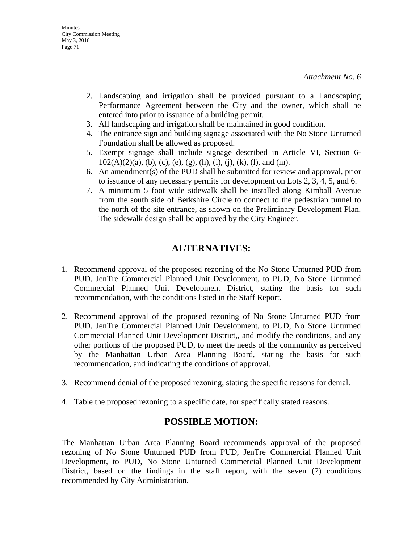- 2. Landscaping and irrigation shall be provided pursuant to a Landscaping Performance Agreement between the City and the owner, which shall be entered into prior to issuance of a building permit.
- 3. All landscaping and irrigation shall be maintained in good condition.
- 4. The entrance sign and building signage associated with the No Stone Unturned Foundation shall be allowed as proposed.
- 5. Exempt signage shall include signage described in Article VI, Section 6-  $102(A)(2)(a)$ , (b), (c), (e), (g), (h), (i), (j), (k), (l), and (m).
- 6. An amendment(s) of the PUD shall be submitted for review and approval, prior to issuance of any necessary permits for development on Lots 2, 3, 4, 5, and 6.
- 7. A minimum 5 foot wide sidewalk shall be installed along Kimball Avenue from the south side of Berkshire Circle to connect to the pedestrian tunnel to the north of the site entrance, as shown on the Preliminary Development Plan. The sidewalk design shall be approved by the City Engineer.

## **ALTERNATIVES:**

- 1. Recommend approval of the proposed rezoning of the No Stone Unturned PUD from PUD, JenTre Commercial Planned Unit Development, to PUD, No Stone Unturned Commercial Planned Unit Development District, stating the basis for such recommendation, with the conditions listed in the Staff Report.
- 2. Recommend approval of the proposed rezoning of No Stone Unturned PUD from PUD, JenTre Commercial Planned Unit Development, to PUD, No Stone Unturned Commercial Planned Unit Development District,, and modify the conditions, and any other portions of the proposed PUD, to meet the needs of the community as perceived by the Manhattan Urban Area Planning Board, stating the basis for such recommendation, and indicating the conditions of approval.
- 3. Recommend denial of the proposed rezoning, stating the specific reasons for denial.
- 4. Table the proposed rezoning to a specific date, for specifically stated reasons.

## **POSSIBLE MOTION:**

The Manhattan Urban Area Planning Board recommends approval of the proposed rezoning of No Stone Unturned PUD from PUD, JenTre Commercial Planned Unit Development, to PUD, No Stone Unturned Commercial Planned Unit Development District, based on the findings in the staff report, with the seven (7) conditions recommended by City Administration.